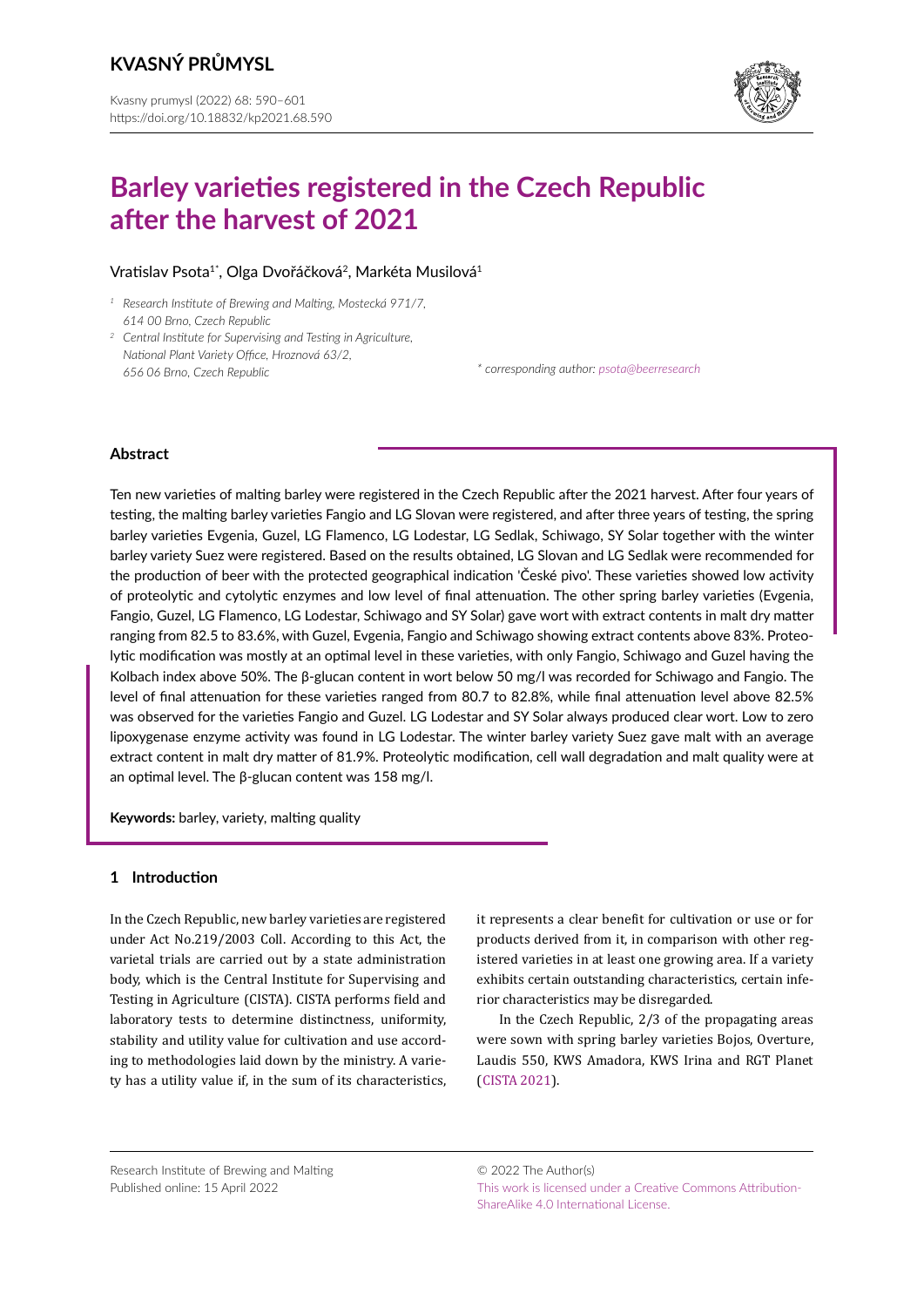

# **Barley varieties registered in the Czech Republic after the harvest of 2021**

# Vratislav Psota<sup>1\*</sup>, Olga Dvořáčková<sup>2</sup>, Markéta Musilová<sup>1</sup>

- *<sup>1</sup> Research Institute of Brewing and Malting, Mostecká 971/7, 614 00 Brno, Czech Republic*
- *<sup>2</sup> Central Institute for Supervising and Testing in Agriculture, National Plant Variety Office, Hroznová 63/2, 656 06 Brno, Czech Republic \* corresponding author: [psota@beerresearch](mailto:psota%40beerresearch.cz?subject=)*

# **Abstract**

Ten new varieties of malting barley were registered in the Czech Republic after the 2021 harvest. After four years of testing, the malting barley varieties Fangio and LG Slovan were registered, and after three years of testing, the spring barley varieties Evgenia, Guzel, LG Flamenco, LG Lodestar, LG Sedlak, Schiwago, SY Solar together with the winter barley variety Suez were registered. Based on the results obtained, LG Slovan and LG Sedlak were recommended for the production of beer with the protected geographical indication 'České pivo'. These varieties showed low activity of proteolytic and cytolytic enzymes and low level of final attenuation. The other spring barley varieties (Evgenia, Fangio, Guzel, LG Flamenco, LG Lodestar, Schiwago and SY Solar) gave wort with extract contents in malt dry matter ranging from 82.5 to 83.6%, with Guzel, Evgenia, Fangio and Schiwago showing extract contents above 83%. Proteolytic modification was mostly at an optimal level in these varieties, with only Fangio, Schiwago and Guzel having the Kolbach index above 50%. The β-glucan content in wort below 50 mg/l was recorded for Schiwago and Fangio. The level of final attenuation for these varieties ranged from 80.7 to 82.8%, while final attenuation level above 82.5% was observed for the varieties Fangio and Guzel. LG Lodestar and SY Solar always produced clear wort. Low to zero lipoxygenase enzyme activity was found in LG Lodestar. The winter barley variety Suez gave malt with an average extract content in malt dry matter of 81.9%. Proteolytic modification, cell wall degradation and malt quality were at an optimal level. The β-glucan content was 158 mg/l.

**Keywords:** barley, variety, malting quality

# **1 Introduction**

In the Czech Republic, new barley varieties are registered under Act No.219/2003 Coll. According to this Act, the varietal trials are carried out by a state administration body, which is the Central Institute for Supervising and Testing in Agriculture (CISTA). CISTA performs field and laboratory tests to determine distinctness, uniformity, stability and utility value for cultivation and use according to methodologies laid down by the ministry. A variety has a utility value if, in the sum of its characteristics,

it represents a clear benefit for cultivation or use or for products derived from it, in comparison with other registered varieties in at least one growing area. If a variety exhibits certain outstanding characteristics, certain inferior characteristics may be disregarded.

In the Czech Republic, 2/3 of the propagating areas were sown with spring barley varieties Bojos, Overture, Laudis 550, KWS Amadora, KWS Irina and RGT Planet ([CISTA 2021](#page-11-0)).

Research Institute of Brewing and Malting Published online: 15 April 2022

© 2022 The Author(s) [This work is licensed under a Creative Commons Attribution-](https://creativecommons.org/licenses/by-sa/4.0/)[ShareAlike 4.0 International License.](https://creativecommons.org/licenses/by-sa/4.0/)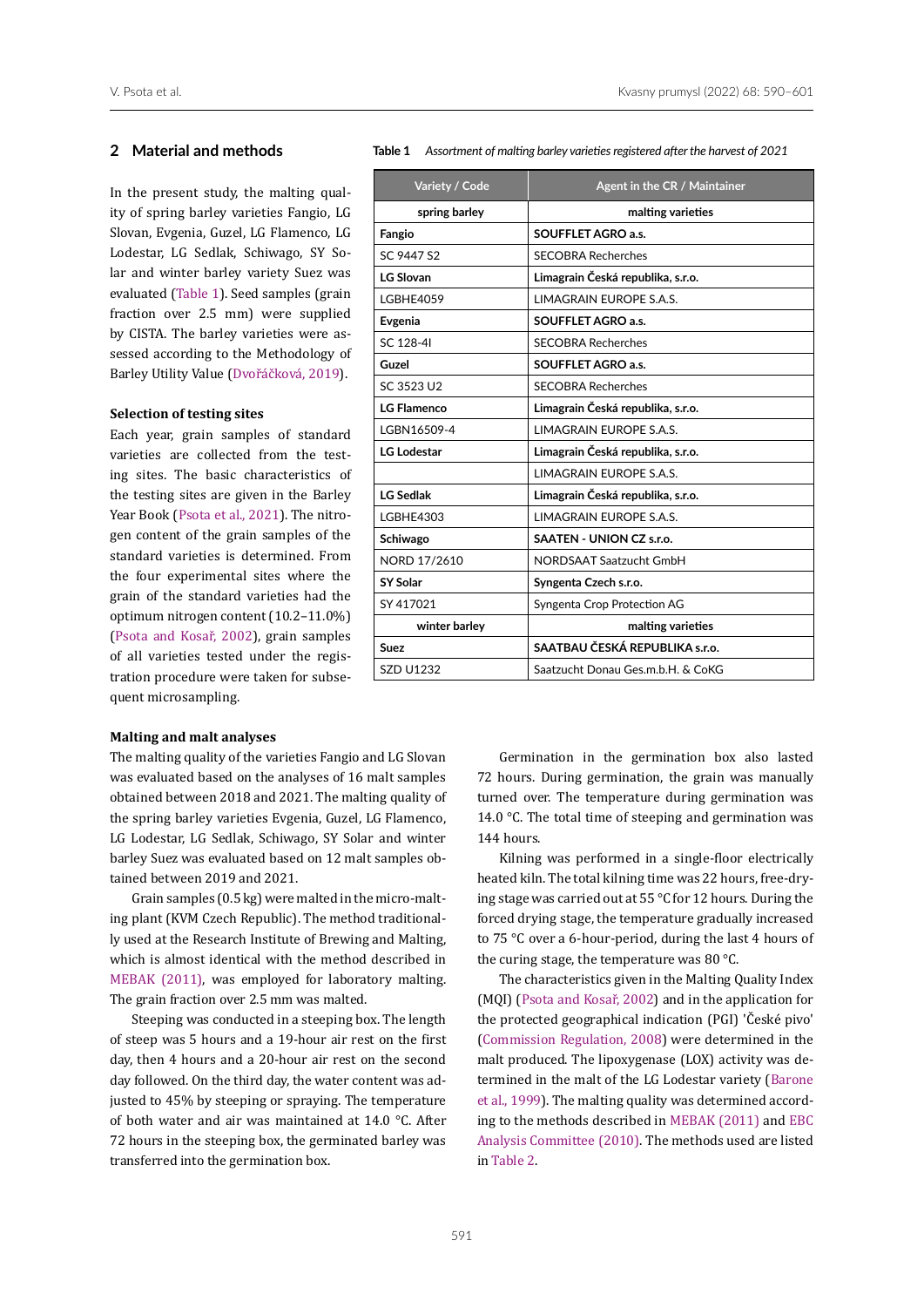## **2 Material and methods**

In the present study, the malting quality of spring barley varieties Fangio, LG Slovan, Evgenia, Guzel, LG Flamenco, LG Lodestar, LG Sedlak, Schiwago, SY Solar and winter barley variety Suez was evaluated ([Table 1\)](#page-1-0). Seed samples (grain fraction over 2.5 mm) were supplied by CISTA. The barley varieties were assessed according to the Methodology of Barley Utility Value (Dvořáčková, 2019).

## **Selection of testing sites**

Each year, grain samples of standard varieties are collected from the testing sites. The basic characteristics of the testing sites are given in the Barley Year Book (Psota et al., 2021). The nitrogen content of the grain samples of the standard varieties is determined. From the four experimental sites where the grain of the standard varieties had the optimum nitrogen content (10.2–11.0%) (Psota and Kosař, 2002), grain samples of all varieties tested under the registration procedure were taken for subsequent microsampling.

#### <span id="page-1-0"></span>**Table 1** *Assortment of malting barley varieties registered afterthe harvest of 2021*

| Variety / Code     | Agent in the CR / Maintainer      |
|--------------------|-----------------------------------|
| spring barley      | malting varieties                 |
| Fangio             | <b>SOUFFLET AGRO a.s.</b>         |
| SC 9447 S2         | <b>SECOBRA Recherches</b>         |
| <b>LG Slovan</b>   | Limagrain Česká republika, s.r.o. |
| IGBHF4059          | <b>I IMAGRAIN FUROPE S.A.S.</b>   |
| Evgenia            | <b>SOUFFLET AGRO a.s.</b>         |
| SC 128-4I          | <b>SECOBRA Recherches</b>         |
| Guzel              | <b>SOUFFLET AGRO a.s.</b>         |
| SC 3523 U2         | <b>SECOBRA Recherches</b>         |
| <b>LG Flamenco</b> | Limagrain Česká republika, s.r.o. |
| IGBN16509-4        | <b>I IMAGRAIN FUROPE S.A.S.</b>   |
| <b>LG Lodestar</b> | Limagrain Česká republika, s.r.o. |
|                    | <b>I IMAGRAIN FUROPE S.A.S.</b>   |
| <b>LG Sedlak</b>   | Limagrain Česká republika, s.r.o. |
| <b>LGBHE4303</b>   | LIMAGRAIN EUROPE S.A.S.           |
| Schiwago           | SAATEN - UNION CZ s.r.o.          |
| NORD 17/2610       | <b>NORDSAAT Saatzucht GmbH</b>    |
| SY Solar           | Syngenta Czech s.r.o.             |
| SY 417021          | Syngenta Crop Protection AG       |
| winter barley      | malting varieties                 |
| Suez               | SAATBAU ČESKÁ REPUBLIKA s.r.o.    |
| <b>SZD U1232</b>   | Saatzucht Donau Ges.m.b.H. & CoKG |

## **Malting and malt analyses**

The malting quality of the varieties Fangio and LG Slovan was evaluated based on the analyses of 16 malt samples obtained between 2018 and 2021. The malting quality of the spring barley varieties Evgenia, Guzel, LG Flamenco, LG Lodestar, LG Sedlak, Schiwago, SY Solar and winter barley Suez was evaluated based on 12 malt samples obtained between 2019 and 2021.

Grain samples (0.5 kg) were malted in the micro-malting plant (KVM Czech Republic). The method traditionally used at the Research Institute of Brewing and Malting, which is almost identical with the method described in [MEBAK \(2011\),](#page-11-1) was employed for laboratory malting. The grain fraction over 2.5 mm was malted.

Steeping was conducted in a steeping box. The length of steep was 5 hours and a 19-hour air rest on the first day, then 4 hours and a 20-hour air rest on the second day followed. On the third day, the water content was adjusted to 45% by steeping or spraying. The temperature of both water and air was maintained at 14.0 °C. After 72 hours in the steeping box, the germinated barley was transferred into the germination box.

Germination in the germination box also lasted 72 hours. During germination, the grain was manually turned over. The temperature during germination was 14.0 °C. The total time of steeping and germination was 144 hours.

Kilning was performed in a single-floor electrically heated kiln. The total kilning time was 22 hours, free-drying stage was carried out at 55 °C for 12 hours. During the forced drying stage, the temperature gradually increased to 75 °C over a 6-hour-period, during the last 4 hours of the curing stage, the temperature was 80 °C.

The characteristics given in the Malting Quality Index (MQI) (Psota and Kosař, 2002) and in the application for the protected geographical indication (PGI) 'České pivo' [\(Commission Regulation, 2008\)](#page-11-2) were determined in the malt produced. The lipoxygenase (LOX) activity was determined in the malt of the LG Lodestar variety (Barone et al., 1999). The malting quality was determined according to the methods described in [MEBAK \(2011\)](#page-11-1) and [EBC](#page-11-3) [Analysis Committee \(2010\)](#page-11-3). The methods used are listed in Table 2.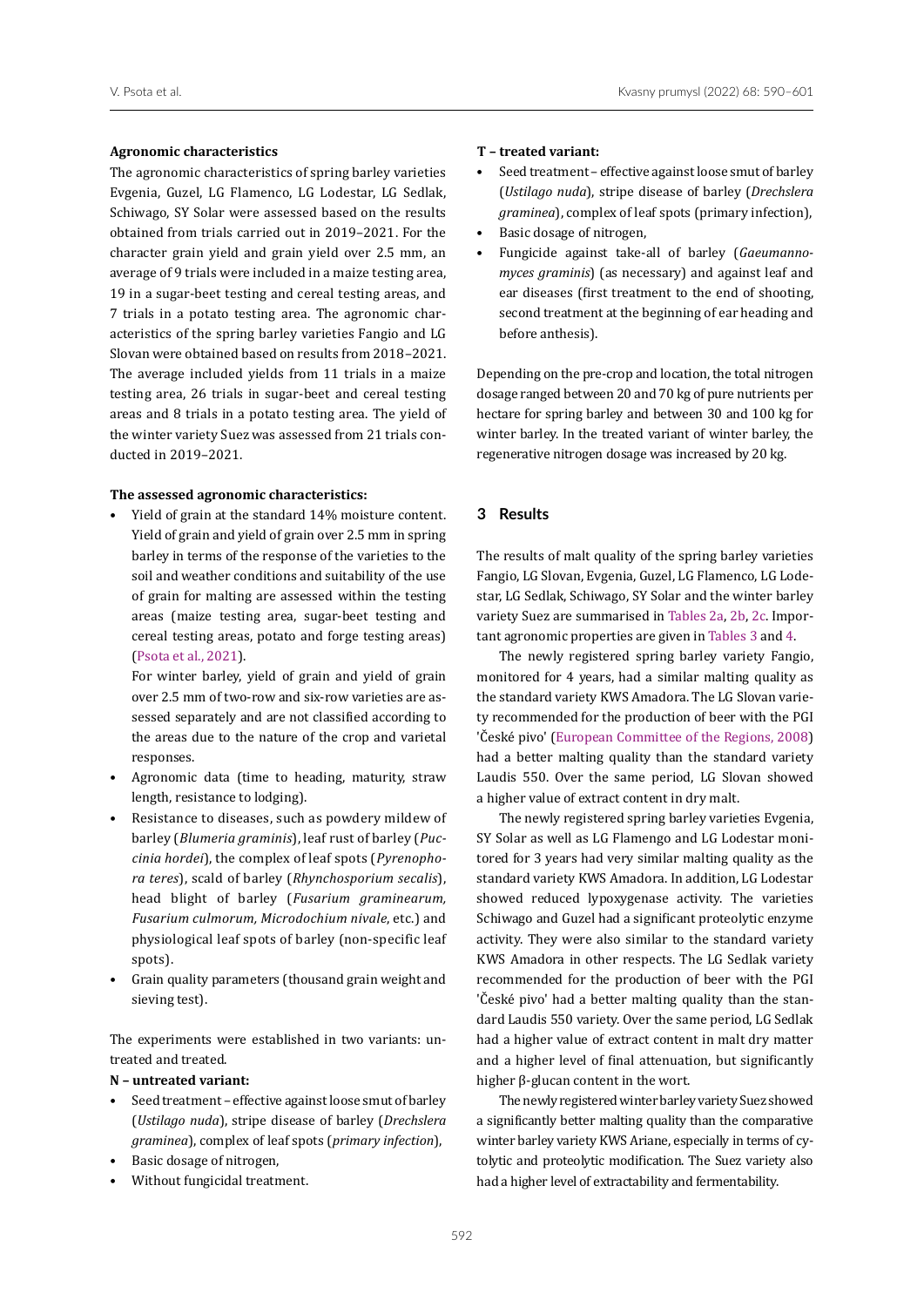#### **Agronomic characteristics**

The agronomic characteristics of spring barley varieties Evgenia, Guzel, LG Flamenco, LG Lodestar, LG Sedlak, Schiwago, SY Solar were assessed based on the results obtained from trials carried out in 2019–2021. For the character grain yield and grain yield over 2.5 mm, an average of 9 trials were included in a maize testing area, 19 in a sugar-beet testing and cereal testing areas, and 7 trials in a potato testing area. The agronomic characteristics of the spring barley varieties Fangio and LG Slovan were obtained based on results from 2018–2021. The average included yields from 11 trials in a maize testing area, 26 trials in sugar-beet and cereal testing areas and 8 trials in a potato testing area. The yield of the winter variety Suez was assessed from 21 trials conducted in 2019–2021.

#### **The assessed agronomic characteristics:**

• Yield of grain at the standard 14% moisture content. Yield of grain and yield of grain over 2.5 mm in spring barley in terms of the response of the varieties to the soil and weather conditions and suitability of the use of grain for malting are assessed within the testing areas (maize testing area, sugar-beet testing and cereal testing areas, potato and forge testing areas) (Psota et al., 2021).

For winter barley, yield of grain and yield of grain over 2.5 mm of two-row and six-row varieties are assessed separately and are not classified according to the areas due to the nature of the crop and varietal responses.

- Agronomic data (time to heading, maturity, straw length, resistance to lodging).
- Resistance to diseases, such as powdery mildew of barley (*Blumeria graminis*), leaf rust of barley (*Puccinia hordei*), the complex of leaf spots (*Pyrenophora teres*), scald of barley (*Rhynchosporium secalis*), head blight of barley (*Fusarium graminearum, Fusarium culmorum, Microdochium nivale*, etc.) and physiological leaf spots of barley (non-specific leaf spots).
- Grain quality parameters (thousand grain weight and sieving test).

The experiments were established in two variants: untreated and treated.

## **N – untreated variant:**

- Seed treatment effective against loose smut of barley (*Ustilago nuda*), stripe disease of barley (*Drechslera graminea*), complex of leaf spots (*primary infection*),
- Basic dosage of nitrogen,
- Without fungicidal treatment.

#### **T – treated variant:**

- Seed treatment effective against loose smut of barley (*Ustilago nuda*), stripe disease of barley (*Drechslera graminea*), complex of leaf spots (primary infection),
- Basic dosage of nitrogen,
- Fungicide against take-all of barley (*Gaeumannomyces graminis*) (as necessary) and against leaf and ear diseases (first treatment to the end of shooting, second treatment at the beginning of ear heading and before anthesis).

Depending on the pre-crop and location, the total nitrogen dosage ranged between 20 and 70 kg of pure nutrients per hectare for spring barley and between 30 and 100 kg for winter barley. In the treated variant of winter barley, the regenerative nitrogen dosage was increased by 20 kg.

# **3 Results**

The results of malt quality of the spring barley varieties Fangio, LG Slovan, Evgenia, Guzel, LG Flamenco, LG Lodestar, LG Sedlak, Schiwago, SY Solar and the winter barley variety Suez are summarised in [Tables 2a,](#page-3-0) [2b,](#page-4-0) [2c.](#page-5-0) Important agronomic properties are given in [Tables 3](#page-6-0) and [4.](#page-7-0)

The newly registered spring barley variety Fangio, monitored for 4 years, had a similar malting quality as the standard variety KWS Amadora. The LG Slovan variety recommended for the production of beer with the PGI 'České pivo' ([European Committee of the Regions, 2008\)](#page-11-2) had a better malting quality than the standard variety Laudis 550. Over the same period, LG Slovan showed a higher value of extract content in dry malt.

The newly registered spring barley varieties Evgenia, SY Solar as well as LG Flamengo and LG Lodestar monitored for 3 years had very similar malting quality as the standard variety KWS Amadora. In addition, LG Lodestar showed reduced lypoxygenase activity. The varieties Schiwago and Guzel had a significant proteolytic enzyme activity. They were also similar to the standard variety KWS Amadora in other respects. The LG Sedlak variety recommended for the production of beer with the PGI 'České pivo' had a better malting quality than the standard Laudis 550 variety. Over the same period, LG Sedlak had a higher value of extract content in malt dry matter and a higher level of final attenuation, but significantly higher β-glucan content in the wort.

The newly registered winter barley variety Suez showed a significantly better malting quality than the comparative winter barley variety KWS Ariane, especially in terms of cytolytic and proteolytic modification. The Suez variety also had a higher level of extractability and fermentability.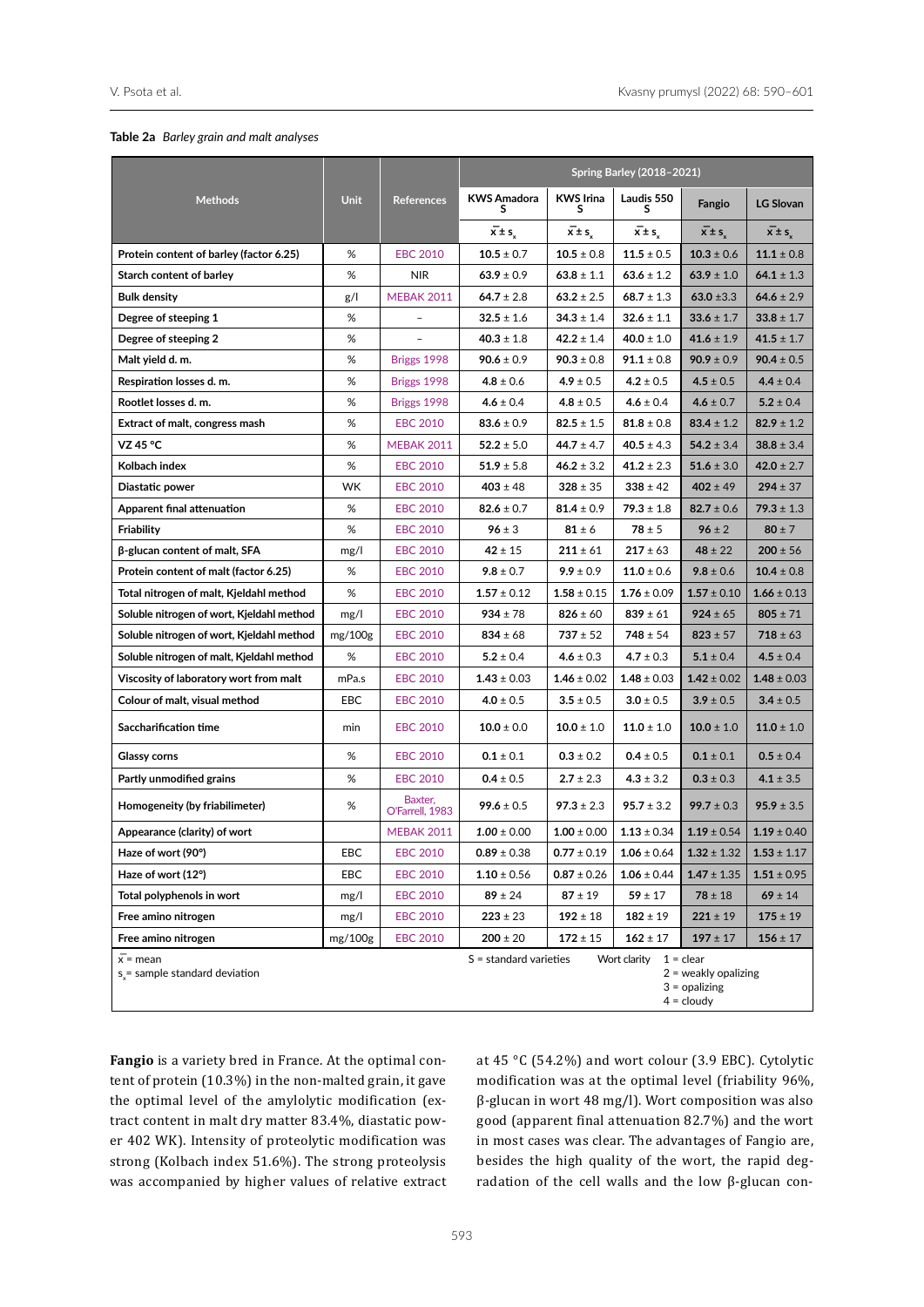#### <span id="page-3-0"></span>**Table 2a** *Barley grain and malt analyses*

|                                                   |             |                            | <b>Spring Barley (2018-2021)</b> |                       |                      |                                                                          |                      |  |  |  |
|---------------------------------------------------|-------------|----------------------------|----------------------------------|-----------------------|----------------------|--------------------------------------------------------------------------|----------------------|--|--|--|
| <b>Methods</b>                                    | <b>Unit</b> | <b>References</b>          | <b>KWS Amadora</b><br>s          | <b>KWS Irina</b><br>s | Laudis 550<br>s      | Fangio                                                                   | <b>LG Slovan</b>     |  |  |  |
|                                                   |             |                            | $\overline{x} \pm s$             | $\overline{x} \pm s$  | $\overline{x} \pm s$ | $x \pm s$                                                                | $\overline{x} \pm s$ |  |  |  |
| Protein content of barley (factor 6.25)           | %           | <b>EBC 2010</b>            | $10.5 \pm 0.7$                   | $10.5 \pm 0.8$        | $11.5 \pm 0.5$       | $10.3 \pm 0.6$                                                           | $11.1 \pm 0.8$       |  |  |  |
| Starch content of barley                          | %           | <b>NIR</b>                 | $63.9 \pm 0.9$                   | $63.8 \pm 1.1$        | $63.6 \pm 1.2$       | $63.9 \pm 1.0$                                                           | $64.1 \pm 1.3$       |  |  |  |
| <b>Bulk density</b>                               | g/l         | <b>MEBAK 2011</b>          | $64.7 \pm 2.8$                   | $63.2 \pm 2.5$        | $68.7 \pm 1.3$       | 63.0 $\pm$ 3.3                                                           | $64.6 \pm 2.9$       |  |  |  |
| Degree of steeping 1                              | %           |                            | $32.5 \pm 1.6$                   | $34.3 \pm 1.4$        | $32.6 \pm 1.1$       | $33.6 \pm 1.7$                                                           | $33.8 \pm 1.7$       |  |  |  |
| Degree of steeping 2                              | $\%$        |                            | $40.3 \pm 1.8$                   | $42.2 \pm 1.4$        | $40.0 \pm 1.0$       | $41.6 \pm 1.9$                                                           | $41.5 \pm 1.7$       |  |  |  |
| Malt yield d. m.                                  | %           | Briggs 1998                | $90.6 \pm 0.9$                   | $90.3 \pm 0.8$        | $91.1 \pm 0.8$       | $90.9 \pm 0.9$                                                           | $90.4 \pm 0.5$       |  |  |  |
| Respiration losses d. m.                          | %           | Briggs 1998                | $4.8 \pm 0.6$                    | $4.9 \pm 0.5$         | $4.2 \pm 0.5$        | $4.5 \pm 0.5$                                                            | $4.4 \pm 0.4$        |  |  |  |
| Rootlet losses d. m.                              | %           | Briggs 1998                | $4.6 \pm 0.4$                    | $4.8 \pm 0.5$         | $4.6 \pm 0.4$        | $4.6 \pm 0.7$                                                            | $5.2 \pm 0.4$        |  |  |  |
| Extract of malt, congress mash                    | %           | <b>EBC 2010</b>            | $83.6 \pm 0.9$                   | $82.5 \pm 1.5$        | $81.8 \pm 0.8$       | $83.4 \pm 1.2$                                                           | $82.9 \pm 1.2$       |  |  |  |
| VZ 45 °C                                          | %           | <b>MEBAK 2011</b>          | $52.2 \pm 5.0$                   | $44.7 \pm 4.7$        | $40.5 \pm 4.3$       | $54.2 \pm 3.4$                                                           | $38.8 \pm 3.4$       |  |  |  |
| Kolbach index                                     | %           | <b>EBC 2010</b>            | $51.9 \pm 5.8$                   | $46.2 \pm 3.2$        | $41.2 \pm 2.3$       | $51.6 \pm 3.0$                                                           | $42.0 \pm 2.7$       |  |  |  |
| Diastatic power                                   | <b>WK</b>   | <b>EBC 2010</b>            | $403 \pm 48$                     | $328 \pm 35$          | $338 \pm 42$         | $402 \pm 49$                                                             | $294 \pm 37$         |  |  |  |
| Apparent final attenuation                        | %           | <b>EBC 2010</b>            | $82.6 \pm 0.7$                   | $81.4 \pm 0.9$        | $79.3 \pm 1.8$       | $82.7 \pm 0.6$                                                           | $79.3 \pm 1.3$       |  |  |  |
| Friability                                        | %           | <b>EBC 2010</b>            | $96 \pm 3$                       | $81 \pm 6$            | $78 \pm 5$           | $96 \pm 2$                                                               | $80 \pm 7$           |  |  |  |
| β-glucan content of malt, SFA                     | mg/l        | <b>EBC 2010</b>            | $42 \pm 15$                      | $211 \pm 61$          | $217 \pm 63$         | $48 \pm 22$                                                              | $200 \pm 56$         |  |  |  |
| Protein content of malt (factor 6.25)             | %           | <b>EBC 2010</b>            | $9.8 \pm 0.7$                    | $9.9 \pm 0.9$         | $11.0 \pm 0.6$       | $9.8 \pm 0.6$                                                            | $10.4 \pm 0.8$       |  |  |  |
| Total nitrogen of malt, Kjeldahl method           | %           | <b>EBC 2010</b>            | $1.57 \pm 0.12$                  | $1.58 \pm 0.15$       | $1.76 \pm 0.09$      | $1.57 \pm 0.10$                                                          | $1.66 \pm 0.13$      |  |  |  |
| Soluble nitrogen of wort, Kjeldahl method         | mg/l        | <b>EBC 2010</b>            | $934 \pm 78$                     | $826 \pm 60$          | $839 \pm 61$         | $924 \pm 65$                                                             | $805 \pm 71$         |  |  |  |
| Soluble nitrogen of wort, Kjeldahl method         | mg/100g     | <b>EBC 2010</b>            | $834 \pm 68$                     | $737 \pm 52$          | $748 \pm 54$         | $823 \pm 57$                                                             |                      |  |  |  |
| Soluble nitrogen of malt, Kjeldahl method         | $\%$        | <b>EBC 2010</b>            | $5.2 \pm 0.4$                    | $4.6 \pm 0.3$         | $4.7 \pm 0.3$        | $5.1 \pm 0.4$                                                            | $4.5 \pm 0.4$        |  |  |  |
| Viscosity of laboratory wort from malt            | mPa.s       | <b>EBC 2010</b>            | $1.43 \pm 0.03$                  | $1.46 \pm 0.02$       | $1.48 \pm 0.03$      | $1.42 \pm 0.02$                                                          | $1.48 \pm 0.03$      |  |  |  |
| Colour of malt, visual method                     | EBC         | <b>EBC 2010</b>            | $4.0 \pm 0.5$                    | $3.5 \pm 0.5$         | $3.0 \pm 0.5$        | $3.9 \pm 0.5$                                                            | $3.4 \pm 0.5$        |  |  |  |
| Saccharification time                             | min         | <b>EBC 2010</b>            | $10.0 \pm 0.0$                   | $10.0 \pm 1.0$        | $11.0 \pm 1.0$       | $10.0 \pm 1.0$                                                           | $11.0 \pm 1.0$       |  |  |  |
| <b>Glassy corns</b>                               | %           | <b>EBC 2010</b>            | $0.1 \pm 0.1$                    | $0.3 \pm 0.2$         | $0.4 \pm 0.5$        | $0.1 \pm 0.1$                                                            | $0.5 \pm 0.4$        |  |  |  |
| Partly unmodified grains                          | %           | <b>EBC 2010</b>            | $0.4 \pm 0.5$                    | $2.7 \pm 2.3$         | $4.3 \pm 3.2$        | $0.3 \pm 0.3$                                                            | $4.1 \pm 3.5$        |  |  |  |
| Homogeneity (by friabilimeter)                    | %           | Baxter,<br>O'Farrell, 1983 | $99.6 \pm 0.5$                   | $97.3 \pm 2.3$        | $95.7 \pm 3.2$       | $99.7 \pm 0.3$                                                           | $95.9 \pm 3.5$       |  |  |  |
| Appearance (clarity) of wort                      |             | <b>MEBAK 2011</b>          | $1.00 \pm 0.00$                  | $1.00 \pm 0.00$       | $1.13 \pm 0.34$      | $1.19 \pm 0.54$                                                          | $1.19 \pm 0.40$      |  |  |  |
| Haze of wort (90°)                                | EBC         | <b>EBC 2010</b>            | $0.89 \pm 0.38$                  | $0.77 \pm 0.19$       | $1.06 \pm 0.64$      | $1.32 \pm 1.32$                                                          | $1.53 \pm 1.17$      |  |  |  |
| Haze of wort (12°)                                | EBC         | <b>EBC 2010</b>            | $1.10 \pm 0.56$                  | $0.87 \pm 0.26$       | $1.06 \pm 0.44$      | $1.47 \pm 1.35$                                                          | $1.51 \pm 0.95$      |  |  |  |
| Total polyphenols in wort                         | mg/l        | <b>EBC 2010</b>            | $89 \pm 24$                      | $87 \pm 19$           | $59 \pm 17$          | $78 \pm 18$                                                              | $69 \pm 14$          |  |  |  |
| Free amino nitrogen                               | mg/l        | <b>EBC 2010</b>            | $223 \pm 23$                     | $192 \pm 18$          | $182 \pm 19$         | $221 \pm 19$                                                             | $175 \pm 19$         |  |  |  |
| Free amino nitrogen                               | mg/100g     | <b>EBC 2010</b>            | $200 \pm 20$                     | $172 \pm 15$          | $162 \pm 17$         | $197 \pm 17$                                                             | $156 \pm 17$         |  |  |  |
| $\bar{x}$ = mean<br>s = sample standard deviation |             |                            | $S =$ standard varieties         |                       | Wort clarity         | $1 = clear$<br>$2$ = weakly opalizing<br>$3 =$ opalizing<br>$4 =$ cloudy |                      |  |  |  |

**Fangio** is a variety bred in France. At the optimal content of protein (10.3%) in the non-malted grain, it gave the optimal level of the amylolytic modification (extract content in malt dry matter 83.4%, diastatic power 402 WK). Intensity of proteolytic modification was strong (Kolbach index 51.6%). The strong proteolysis was accompanied by higher values of relative extract

at 45 °C (54.2%) and wort colour (3.9 EBC). Cytolytic modification was at the optimal level (friability 96%, β-glucan in wort 48 mg/l). Wort composition was also good (apparent final attenuation 82.7%) and the wort in most cases was clear. The advantages of Fangio are, besides the high quality of the wort, the rapid degradation of the cell walls and the low β-glucan con-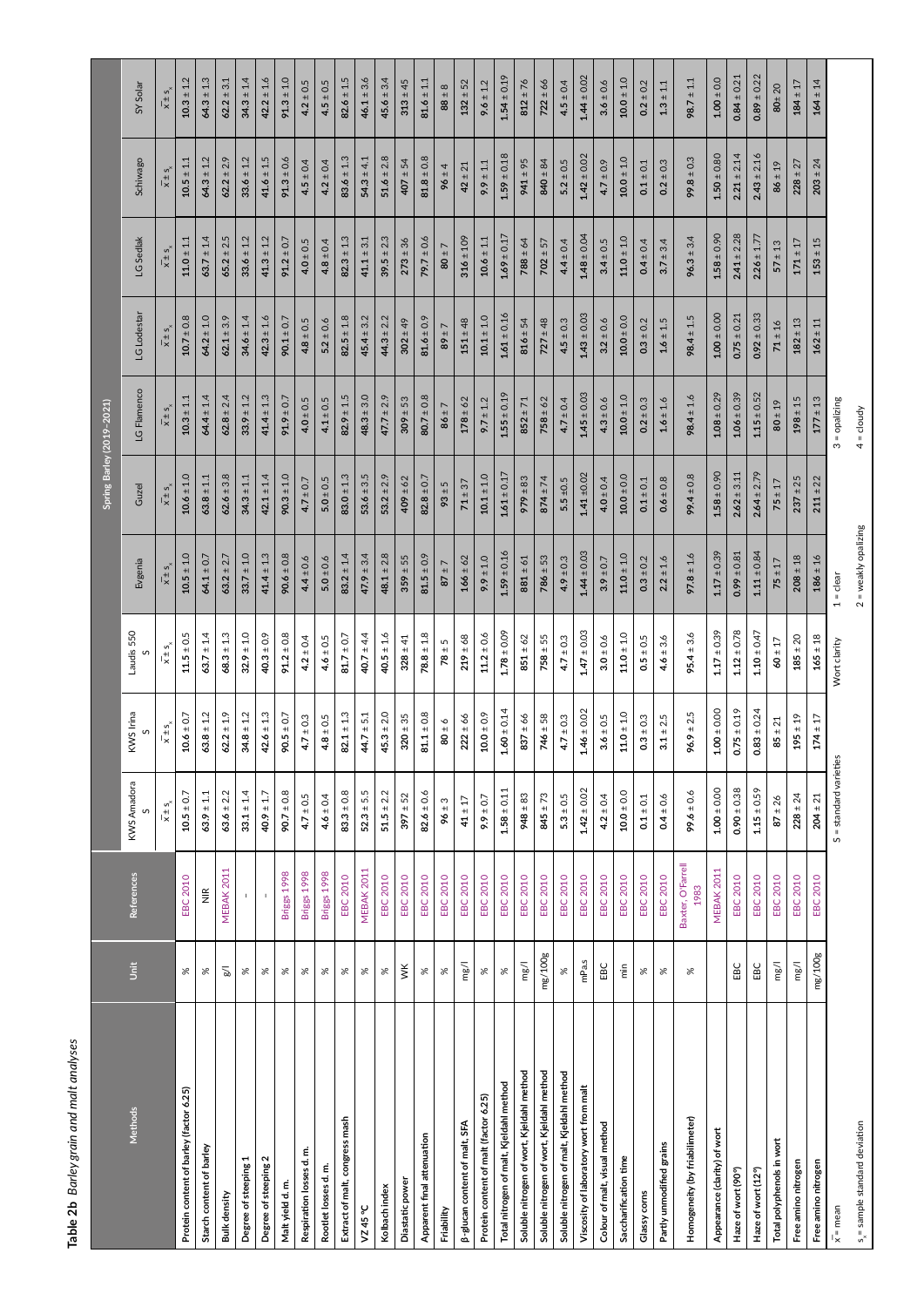<span id="page-4-0"></span>

| סמחוואים                     |
|------------------------------|
| i<br>S                       |
| and<br>grall                 |
| היים ל                       |
| ÷<br>$\frac{1}{2}$<br>č<br>Ξ |

| Table 2b Barley grain and malt analyses   |                              |                            |                                    |                                  |                         |                        |                      |                           |                      |                                    |                                    |                         |
|-------------------------------------------|------------------------------|----------------------------|------------------------------------|----------------------------------|-------------------------|------------------------|----------------------|---------------------------|----------------------|------------------------------------|------------------------------------|-------------------------|
|                                           |                              |                            |                                    |                                  |                         |                        |                      | Spring Barley (2019-2021) |                      |                                    |                                    |                         |
| Methods                                   | $\tilde{\tilde{\mathbf{5}}}$ | References                 | KWS Amadora                        | KWS Irina<br>S                   | Laudis 550              | Evgenia                | Guzel                | LG Flamenco               | LG Lodestar          | LG Sedlak                          | Schiwago                           | SY Solar                |
|                                           |                              |                            | $\overline{x}$ is $\overline{s}$ , | $\overline{x} \pm s$             | $\bar{x} \pm s$         | $\overline{x} \pm s$   | $\overline{x} \pm s$ | $\overline{x} \pm s$      | $\overline{x} \pm s$ | $\overline{x}$ is $\overline{s}$ , | $\overline{x}$ is $\overline{s}$ , | $\overline{x}$ is $s_x$ |
| Protein content of barley (factor 6.25)   | ৯ৎ                           | <b>EBC 2010</b>            | $10.5 \pm 0.7$                     | $10.6 \pm 0.7$                   | $\textbf{11.5} \pm 0.5$ | $10.5 \pm 1.0$         | $10.6 \pm 1.0$       | $10.3 \pm 1.1$            | $10.7 \pm 0.8$       | $11.0 \pm 1.1$                     | $10.5 \pm 1.1$                     | $10.3 \pm 1.2$          |
| Starch content of barley                  | ৯ৎ                           | $\stackrel{\cong}{\equiv}$ | $63.9 \pm 1.1$                     | $63.8 \pm 1.2$                   | $63.7 \pm 1.4$          | $64.1 \pm 0.7$         | $63.8 \pm 1.1$       | $64.4 \pm 1.4$            | $64.2 \pm 1.0$       | $63.7 \pm 1.4$                     | $64.3 \pm 1.2$                     | $64.3 \pm 1.3$          |
| Bulk density                              | $\geqslant$                  | MEBAK 2011                 | $63.6 \pm 2.2$                     | $62.2 \pm 1.9$                   | $68.3 \pm 1.3$          | $63.2 \pm 2.7$         | $62.6 \pm 3.8$       | $62.8 \pm 2.4$            | $62.1 \pm 3.9$       | $65.2 \pm 2.5$                     | $62.2 \pm 2.9$                     | $62.2 \pm 3.1$          |
| Degree of steeping 1                      | ৯ৎ                           |                            | $33.1 \pm 1.4$                     | $34.8 \pm 1.2$                   | $\textbf{32.9} \pm 1.0$ | $33.7 \pm 1.0$         | $34.3 \pm 1.1$       | $33.9 \pm 1.2$            | $34.6 \pm 1.4$       | $33.6 \pm 1.2$                     | $33.6 \pm 1.2$                     | $34.3 \pm 1.4$          |
| Degree of steeping 2                      | ৯ৎ                           |                            | $40.9 \pm 1.7$                     | $42.6 \pm 1.3$                   | $40.3 \pm 0.9$          | $41.4 \pm 1.3$         | $42.1 \pm 1.4$       | $41.4 \pm 1.3$            | $42.3 \pm 1.6$       | $41.3 \pm 1.2$                     | $41.6 \pm 1.5$                     | $42.2 \pm 1.6$          |
| Maltyield d.m.                            | ৯ৎ                           | Briggs 1998                | $90.7 \pm 0.8$                     | $90.5 \pm 0.7$                   | $91.2 \pm 0.8$          | $90.6 \pm 0.8$         | $90.3 \pm 1.0$       | $91.9 \pm 0.7$            | $90.1 \pm 0.7$       | $91.2 \pm 0.7$                     | $91.3 \pm 0.6$                     | $91.3 \pm 1.0$          |
| Respiration losses d.m.                   | ৯ৎ                           | Briggs 1998                | $4.7 \pm 0.5$                      | $4.7 \pm 0.3$                    | $4.2 \pm 0.4$           | $4.4 \pm 0.6$          | $4.7 \pm 0.7$        | $4.0 \pm 0.5$             | $4.8 \pm 0.5$        | $4.0 \pm 0.5$                      | $4.5 \pm 0.4$                      | $4.2 \pm 0.5$           |
| Rootlet losses d.m.                       | $\%$                         | Briggs 1998                | $4.6 \pm 0.4$                      | $4.8 \pm 0.5$                    | $4.6 \pm 0.5$           | $5.0 \pm 0.6$          | $5.0\pm0.5$          | $4.1 \pm 0.5$             | $5.2 \pm 0.6$        | $4.8 \pm 0.4$                      | $4.2 \pm 0.4$                      | $4.5 \pm 0.5$           |
| Extract of malt, congress mash            | ৯ৎ                           | EBC 2010                   | $83.3 \pm 0.8$                     | $82.1 \pm 1.3$                   | $81.7 \pm 0.7$          | $83.2 \pm 1.4$         | $83.0 \pm 1.3$       | $82.9 \pm 1.5$            | $82.5 \pm 1.8$       | $82.3 \pm 1.3$                     | $83.6 \pm 1.3$                     | $82.6 \pm 1.5$          |
| VZ45°C                                    | ৯ৎ                           | <b>MEBAK 2011</b>          | $52.3 \pm 5.5$                     | $44.7 \pm 5.1$                   | 40.7 ± 4.4              | $47.9 \pm 3.4$         | $53.6 \pm 3.5$       | $48.3 \pm 3.0$            | $45.4 \pm 3.2$       | $41.1 \pm 3.1$                     | $54.3 \pm 4.1$                     | $46.1 \pm 3.6$          |
| Kolbach index                             | X                            | <b>EBC 2010</b>            | $51.5 \pm 2.2$                     | $45.3 \pm 2.0$                   | $40.5 \pm 1.6$          | $48.1 \pm 2.8$         | $53.2 \pm 2.9$       | $47.7 \pm 2.9$            | $44.3 \pm 2.2$       | $39.5 \pm 2.3$                     | $51.6 \pm 2.8$                     | $45.6 \pm 3.4$          |
| Diastatic power                           | ŠК                           | EBC 2010                   | $397 \pm 52$                       | $320 \pm 35$                     | $328 \pm 41$            | $359 \pm 55$           | $409 \pm 62$         | $309 \pm 53$              | $302 \pm 49$         | $273 \pm 36$                       | $407 \pm 54$                       | $313 \pm 45$            |
| Apparent final attenuation                | ৯ৎ                           | EBC 2010                   | $82.6 \pm 0.6$                     | $81.1 \pm 0.8$                   | $78.8 \pm 1.8$          | $81.5 \pm 0.9$         | $82.8 \pm 0.7$       | $80.7 \pm 0.8$            | $81.6 \pm 0.9$       | $79.7 \pm 0.6$                     | $81.8 \pm 0.8$                     | $81.6 \pm 1.1$          |
| Friability                                | $\%$                         | <b>EBC 2010</b>            | $96 \pm 3$                         | $60 \pm 6$                       | $78 \pm 5$              | $87 \pm 7$             | $93 \pm 5$           | $86 \pm 7$                | $7 + 68$             | $80 \pm 7$                         | $96 \pm 4$                         | $88 \pm 8$              |
| <b>B-glucan content of malt, SFA</b>      | mg/l                         | <b>EBC 2010</b>            | $41 \pm 17$                        | $222 \pm 66$                     | $\mathbf{219} \pm 68$   | $166 \pm 62$           | $71 \pm 37$          | $178 \pm 62$              | $151 \pm 48$         | $316 \pm 109$                      | $42 \pm 21$                        | $132 \pm 52$            |
| Protein content of malt (factor 6.25)     | $\%$                         | EBC 2010                   | $9.9 \pm 0.7$                      | $10.0 \pm 0.9$                   | $11.2 \pm 0.6$          | $9.9 \pm 1.0$          | $10.1 \pm 1.0$       | $9.7 \pm 1.2$             | $10.1 \pm 1.0$       | $10.6 \pm 1.1$                     | $9.9 \pm 1.1$                      | $9.6 \pm 1.2$           |
| Total nitrogen of malt, Kjeldahl method   | $\%$                         | <b>EBC 2010</b>            | $1.58 \pm 0.11$                    | $1.60 \pm 0.14$                  | $1.78 \pm 0.09$         | $1.59 \pm 0.16$        | $1.61 \pm 0.17$      | $1.55 \pm 0.19$           | $1.61 \pm 0.16$      | $1.69 \pm 0.17$                    | $\mathbf{1.59} \pm 0.18$           | $1.54 \pm 0.19$         |
| Soluble nitrogen of wort, Kjeldahl method | mg/1                         | <b>EBC 2010</b>            | $948 \pm 83$                       | $837 \pm 66$                     | $851 \pm 62$            | $881 \pm 61$           | $979 \pm 83$         | $852 \pm 71$              | $816 \pm 54$         | $788 \pm 64$                       | $941 \pm 95$                       | $812 \pm 76$            |
| Soluble nitrogen of wort, Kjeldahl method | mg/100g                      | EBC 2010                   | $845 \pm 73$                       | $746 \pm 58$                     | $758 \pm 55$            | $786 \pm 53$           | $874 \pm 74$         | $758 \pm 62$              | $727 \pm 48$         | $702 \pm 57$                       | $840 \pm 84$                       | $722 \pm 66$            |
| Soluble nitrogen of malt, Kjeldahl method | $\aleph$                     | EBC 2010                   | $5.3 \pm 0.5$                      | $4.7 \pm 0.3$                    | $4.7 \pm 0.3$           | $4.9 \pm 0.3$          | $5.5 \pm 0.5$        | $4.7 \pm 0.4$             | $4.5 \pm 0.3$        | $4.4 \pm 0.4$                      | $5.2 \pm 0.5$                      | $4.5 \pm 0.4$           |
| Viscosity of laboratory wort from malt    | mPa.s                        | <b>EBC 2010</b>            | $1.42 \pm 0.02$                    | $1.46 \pm 0.02$                  | $1.47 \pm 0.03$         | $1.44 \pm 0.03$        | $1.41 + 0.02$        | $1.45 \pm 0.03$           | $1.43 \pm 0.03$      | $1.48 \pm 0.04$                    | $1.42 \pm 0.02$                    | $1.44 \pm 0.02$         |
| Colour of malt, visual method             | EBC                          | EBC 2010                   | $4.2 \pm 0.4$                      | $3.6 \pm 0.5$                    | $3.0 \pm 0.6$           | $3.9 \pm 0.7$          | $4.0 \pm 0.4$        | $4.3 \pm 0.6$             | $3.2 \pm 0.6$        | $3.4 \pm 0.5$                      | $4.7 \pm 0.9$                      | $3.6 \pm 0.6$           |
| Saccharification time                     | $\frac{5}{5}$                | EBC 2010                   | $10.0 \pm 0.0$                     | $\textbf{11.0} \pm \textbf{1.0}$ | $11.0 \pm 1.0$          | $11.0 \pm 1.0$         | $10.0 \pm 0.0$       | $10.0 \pm 1.0$            | $10.0 \pm 0.0$       | $\textbf{11.0} \pm \textbf{1.0}$   | $10.0 \pm 1.0$                     | $10.0 \pm 1.0$          |
| Glassy corns                              | ৯ৎ                           | <b>EBC 2010</b>            | $0.1 \pm 0.1$                      | $0.3 \pm 0.3$                    | $0.5 \pm 0.5$           | $0.3 \pm 0.2$          | $0.1 \pm 0.1$        | $0.2 \pm 0.3$             | $0.3 \pm 0.2$        | $0.4 \pm 0.4$                      | $0.1 \pm 0.1$                      | $0.2 \pm 0.2$           |
| Partly unmodified grains                  | ৯ৎ                           | EBC 2010                   | $0.4 \pm 0.6$                      | $3.1 \pm 2.5$                    | $4.6 \pm 3.6$           | $2.2 \pm 1.6$          | $0.6 \pm 0.8$        | $1.6 \pm 1.6$             | $1.6 \pm 1.5$        | $3.7 \pm 3.4$                      | $0.2 \pm 0.3$                      | $1.3 \pm 1.1$           |
| Homogeneity (by friabilimeter)            | ৯                            | Baxter, O'Farrell<br>1983  | $9.6 \pm 0.6$                      | $96.9 \pm 2.5$                   | $95.4 \pm 3.6$          | $97.8 \pm 1.6$         | $99.4 \pm 0.8$       | $98.4 \pm 1.6$            | $98.4 \pm 1.5$       | $96.3 \pm 3.4$                     | $99.8 \pm 0.3$                     | $98.7 \pm 1.1$          |
| Appearance (clarity) of wort              |                              | MEBAK 2011                 | $1.00 \pm 0.00$                    | $00.04 \pm 0.00$<br>↤            | $1.17 \pm 0.39$         | $1.17 \pm 0.39$        | $1.58 \pm 0.90$      | $1.08 \pm 0.29$           | $1.00 \pm 0.00$      | $1.58 \pm 0.90$                    | $1.50 \pm 0.80$                    | $1.00 \pm 0.0$          |
| Haze of wort (90°)                        | EBC                          | <b>EBC 2010</b>            | $0.90 \pm 0.38$                    | $0.75 \pm 0.19$                  | $1.12 \pm 0.78$         | $0.99 \pm 0.81$        | $2.62 \pm 3.11$      | $1.06 \pm 0.39$           | $0.75 \pm 0.21$      | $2.41 \pm 2.28$                    | $2.21 \pm 2.14$                    | $0.84 \pm 0.21$         |
| Haze of wort (12°)                        | EBC                          | EBC 2010                   | $1.15 \pm 0.59$                    | $0.83 \pm 0.24$                  | $1.10 \pm 0.47$         | $1.11 \pm 0.84$        | $2.64 \pm 2.79$      | $1.15 \pm 0.52$           | $0.92 \pm 0.33$      | $2.26 \pm 1.77$                    | $2.43 \pm 2.16$                    | $0.89 \pm 0.22$         |
| Total polyphenols in wort                 | mg/1                         | EBC 2010                   | $87 \pm 26$                        | $85 \pm 21$                      | $60 \pm 17$             | $75 \pm 17$            | $75 \pm 17$          | $80 \pm 19$               | $71 \pm 16$          | $57 \pm 13$                        | $86 \pm 19$                        | $80 + 20$               |
| Free amino nitrogen                       | mg/1                         | EBC 2010                   | $228 \pm 24$                       | $195 \pm 19$                     | $\mathbf{185} \pm 20$   | $208 \pm 18$           | $237 \pm 25$         | $198 \pm 15$              | $182 \pm 13$         | $\textbf{171} \pm \textbf{17}$     | $228 \pm 27$                       | $184 \pm 17$            |
| Free amino nitrogen                       | mg/100g                      | <b>EBC 2010</b>            | $204 \pm 21$                       | $174 \pm 17$                     | $165 \pm 18$            | $186 \pm 16$           | $211 \pm 22$         | $177 \pm 13$              | $162 \pm 11$         | $153 \pm 15$                       | $203 \pm 24$                       | $164 \pm 14$            |
| $\bar{x}$ = mean                          |                              |                            | S = standard varieties             |                                  | Wort clarity            | $1 =$ clear            |                      | $3$ = opalizing           |                      |                                    |                                    |                         |
| $s_{x}$ = sample standard deviation       |                              |                            |                                    |                                  |                         | $2$ = weakly opalizing |                      | $4 =$ cloudy              |                      |                                    |                                    |                         |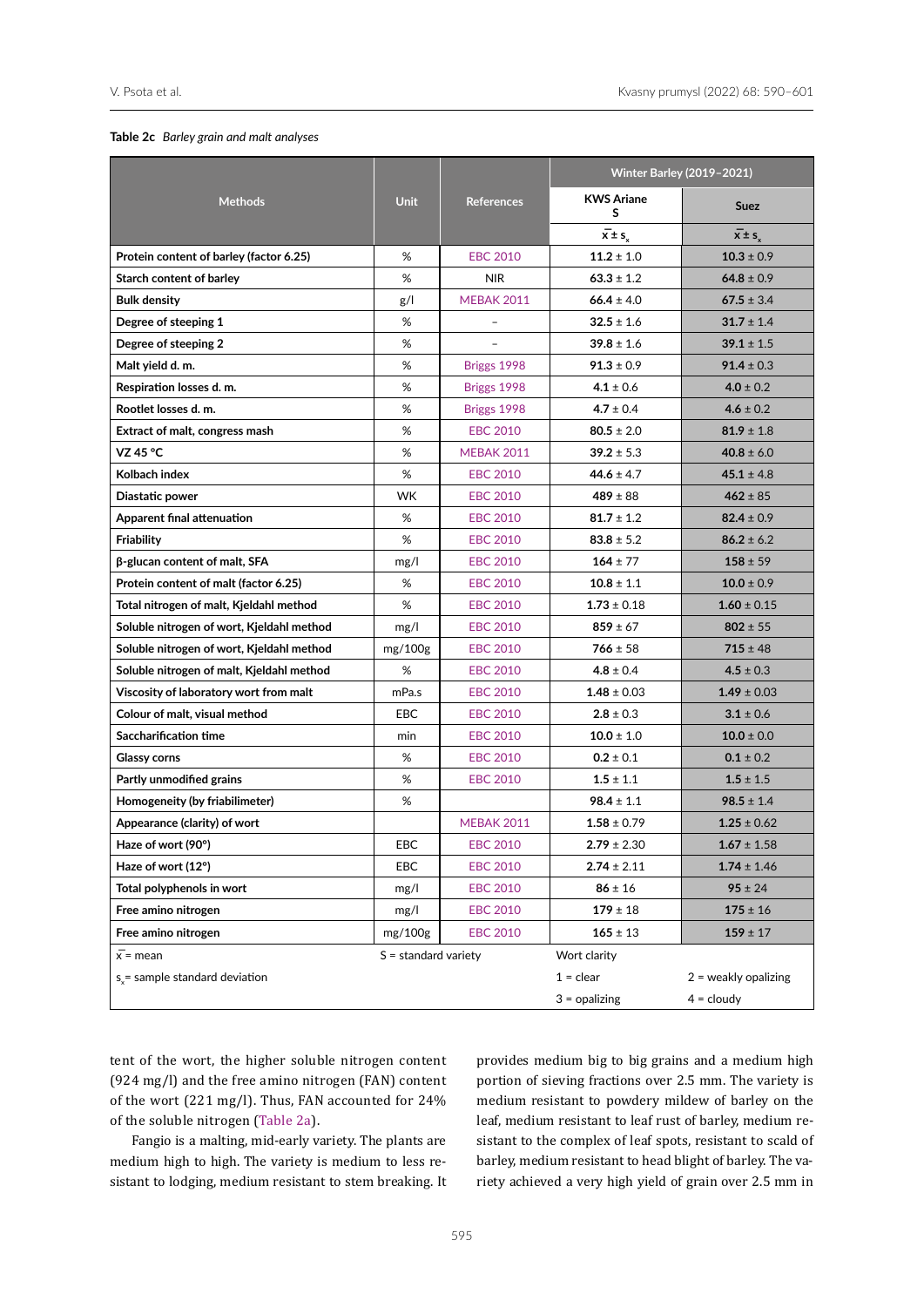#### <span id="page-5-0"></span>**Table 2c** *Barley grain and malt analyses*

|                                           |                        |                   |                                   | <b>Winter Barley (2019-2021)</b> |
|-------------------------------------------|------------------------|-------------------|-----------------------------------|----------------------------------|
| <b>Methods</b>                            | <b>Unit</b>            | <b>References</b> | <b>KWS Ariane</b><br>s            | <b>Suez</b>                      |
|                                           |                        |                   | $\overline{x} \pm s$ <sub>x</sub> | $\overline{x}$ ± s <sub>x</sub>  |
| Protein content of barley (factor 6.25)   | %                      | <b>EBC 2010</b>   | $11.2 \pm 1.0$                    | $10.3 \pm 0.9$                   |
| Starch content of barley                  | %                      | <b>NIR</b>        | $63.3 \pm 1.2$                    | $64.8 \pm 0.9$                   |
| <b>Bulk density</b>                       | g/                     | <b>MEBAK 2011</b> | $66.4 \pm 4.0$                    | $67.5 \pm 3.4$                   |
| Degree of steeping 1                      | %                      |                   | $32.5 \pm 1.6$                    | $31.7 \pm 1.4$                   |
| Degree of steeping 2                      | %                      |                   | $39.8 \pm 1.6$                    | $39.1 \pm 1.5$                   |
| Malt yield d. m.                          | %                      | Briggs 1998       | $91.3 \pm 0.9$                    | $91.4 \pm 0.3$                   |
| Respiration losses d. m.                  | %                      | Briggs 1998       | $4.1 \pm 0.6$                     | $4.0 \pm 0.2$                    |
| Rootlet losses d. m.                      | %                      | Briggs 1998       | $4.7 \pm 0.4$                     | $4.6 \pm 0.2$                    |
| Extract of malt, congress mash            | %                      | <b>EBC 2010</b>   | $80.5 \pm 2.0$                    | $81.9 \pm 1.8$                   |
| VZ 45 °C                                  | %                      | <b>MEBAK 2011</b> | $39.2 \pm 5.3$                    | $40.8 \pm 6.0$                   |
| Kolbach index                             | %                      | <b>EBC 2010</b>   | $44.6 \pm 4.7$                    | $45.1 \pm 4.8$                   |
| Diastatic power                           | <b>WK</b>              | <b>EBC 2010</b>   | $489 \pm 88$                      | $462 \pm 85$                     |
| Apparent final attenuation                | %                      | <b>EBC 2010</b>   | $81.7 \pm 1.2$                    | $82.4 \pm 0.9$                   |
| Friability                                | %                      | <b>EBC 2010</b>   | $83.8 \pm 5.2$                    | $86.2 \pm 6.2$                   |
| $\beta$ -glucan content of malt, SFA      | mg/l                   | <b>EBC 2010</b>   | $164 \pm 77$                      | $158 \pm 59$                     |
| Protein content of malt (factor 6.25)     | %                      | <b>EBC 2010</b>   | $10.8 \pm 1.1$                    | $10.0 \pm 0.9$                   |
| Total nitrogen of malt, Kjeldahl method   | %                      | <b>EBC 2010</b>   | $1.73 \pm 0.18$                   | $1.60 \pm 0.15$                  |
| Soluble nitrogen of wort, Kjeldahl method | mg/l                   | <b>EBC 2010</b>   | $859 \pm 67$                      | $802 \pm 55$                     |
| Soluble nitrogen of wort, Kjeldahl method | mg/100g                | <b>EBC 2010</b>   | $766 \pm 58$                      | $715 \pm 48$                     |
| Soluble nitrogen of malt, Kjeldahl method | %                      | <b>EBC 2010</b>   | $4.8 \pm 0.4$                     | $4.5 \pm 0.3$                    |
| Viscosity of laboratory wort from malt    | mPa.s                  | <b>EBC 2010</b>   | $1.48 \pm 0.03$                   | $1.49 \pm 0.03$                  |
| Colour of malt, visual method             | <b>EBC</b>             | <b>EBC 2010</b>   | $2.8 \pm 0.3$                     | $3.1 \pm 0.6$                    |
| Saccharification time                     | min                    | <b>EBC 2010</b>   | $10.0 \pm 1.0$                    | $10.0 \pm 0.0$                   |
| <b>Glassy corns</b>                       | %                      | <b>EBC 2010</b>   | $0.2 \pm 0.1$                     | $0.1 \pm 0.2$                    |
| Partly unmodified grains                  | %                      | <b>EBC 2010</b>   | $1.5 \pm 1.1$                     | $1.5 \pm 1.5$                    |
| Homogeneity (by friabilimeter)            | %                      |                   | $98.4 \pm 1.1$                    | $98.5 \pm 1.4$                   |
| Appearance (clarity) of wort              |                        | <b>MEBAK 2011</b> | $1.58 \pm 0.79$                   | $1.25 \pm 0.62$                  |
| Haze of wort (90°)                        | <b>EBC</b>             | <b>EBC 2010</b>   | $2.79 \pm 2.30$                   | $1.67 \pm 1.58$                  |
| Haze of wort (12°)                        | EBC                    | <b>EBC 2010</b>   | $2.74 \pm 2.11$                   | $1.74 \pm 1.46$                  |
| Total polyphenols in wort                 | mg/l                   | <b>EBC 2010</b>   | $86 \pm 16$                       | $95 \pm 24$                      |
| Free amino nitrogen                       | mg/l                   | <b>EBC 2010</b>   | $179 \pm 18$                      | $175 \pm 16$                     |
| Free amino nitrogen                       | mg/100g                | <b>EBC 2010</b>   | $165 \pm 13$                      | $159 \pm 17$                     |
| $\overline{x}$ = mean                     | $S =$ standard variety |                   | Wort clarity                      |                                  |
| s = sample standard deviation             |                        |                   | $1 = clear$                       | $2$ = weakly opalizing           |
|                                           |                        |                   | $3 =$ opalizing                   | $4 =$ cloudy                     |

tent of the wort, the higher soluble nitrogen content (924 mg/l) and the free amino nitrogen (FAN) content of the wort (221 mg/l). Thus, FAN accounted for 24% of the soluble nitrogen [\(Table 2a\)](#page-3-0).

Fangio is a malting, mid-early variety. The plants are medium high to high. The variety is medium to less resistant to lodging, medium resistant to stem breaking. It provides medium big to big grains and a medium high portion of sieving fractions over 2.5 mm. The variety is medium resistant to powdery mildew of barley on the leaf, medium resistant to leaf rust of barley, medium resistant to the complex of leaf spots, resistant to scald of barley, medium resistant to head blight of barley. The variety achieved a very high yield of grain over 2.5 mm in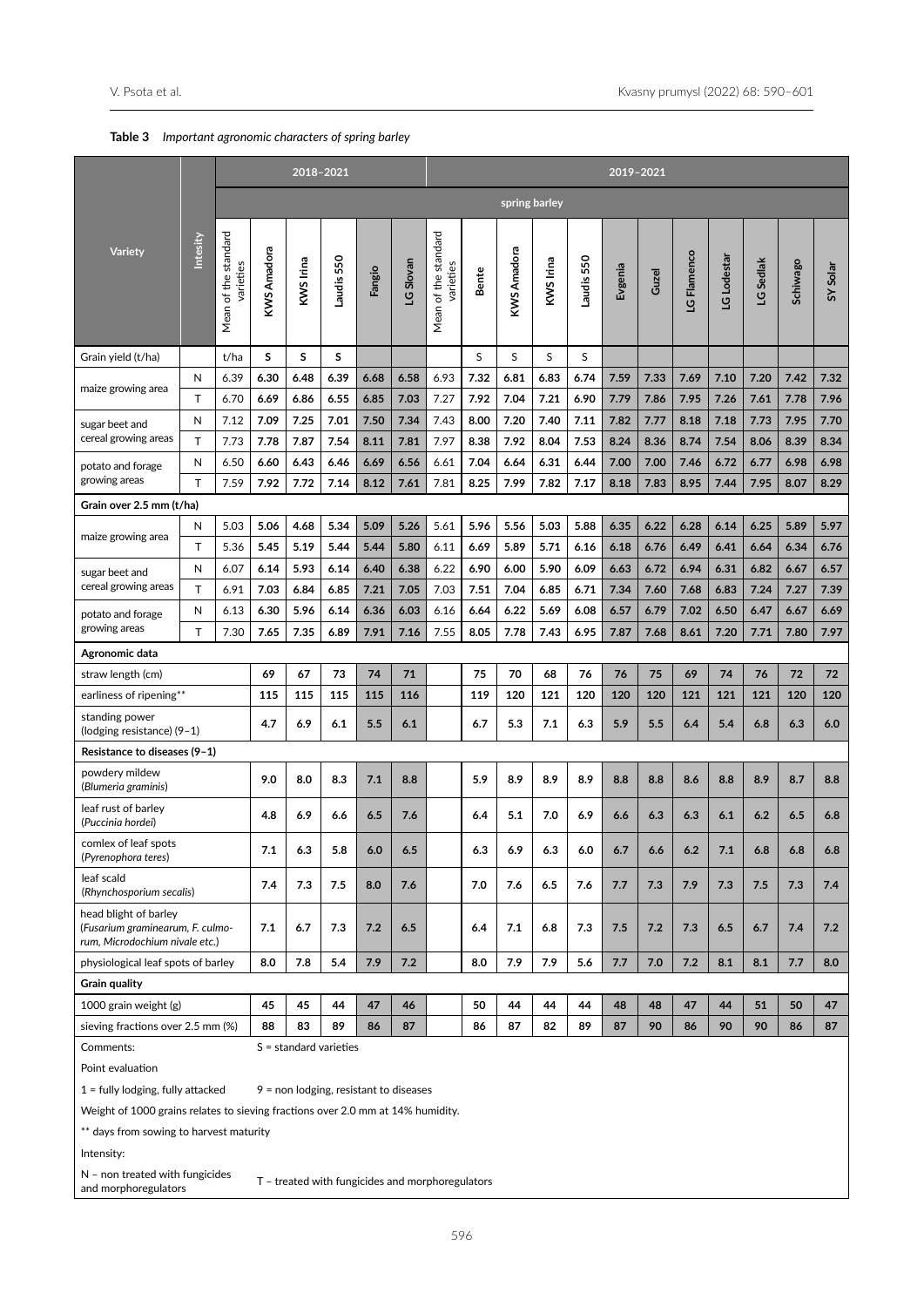<span id="page-6-0"></span>

| <b>Table 3</b> Important agronomic characters of spring barley |  |
|----------------------------------------------------------------|--|
|----------------------------------------------------------------|--|

|                                                                                             |          |                                   |              | 2018-2021                                |              |              |              |                                   |              |               |              |              | 2019-2021    |              |              |              |              |                 |              |
|---------------------------------------------------------------------------------------------|----------|-----------------------------------|--------------|------------------------------------------|--------------|--------------|--------------|-----------------------------------|--------------|---------------|--------------|--------------|--------------|--------------|--------------|--------------|--------------|-----------------|--------------|
|                                                                                             |          |                                   |              |                                          |              |              |              |                                   |              | spring barley |              |              |              |              |              |              |              |                 |              |
| <b>Variety</b>                                                                              | Intesity | Mean of the standard<br>varieties | KWS Amadora  | KWS Irina                                | Laudis 550   | Fangio       | LG Slovan    | Mean of the standard<br>varieties | Bente        | KWS Amadora   | KWS Irina    | Laudis 550   | Evgenia      | Guzel        | LG Flamenco  | LG Lodestar  | LG Sedlak    | <b>Schiwago</b> | SY Solar     |
| Grain yield (t/ha)                                                                          |          | t/ha                              | s            | S                                        | s            |              |              |                                   | S            | S             | S            | S            |              |              |              |              |              |                 |              |
| maize growing area                                                                          | Ν        | 6.39                              | 6.30         | 6.48                                     | 6.39         | 6.68         | 6.58         | 6.93                              | 7.32         | 6.81          | 6.83         | 6.74         | 7.59         | 7.33         | 7.69         | 7.10         | 7.20         | 7.42            | 7.32         |
|                                                                                             | T        | 6.70                              | 6.69         | 6.86                                     | 6.55         | 6.85         | 7.03         | 7.27                              | 7.92         | 7.04          | 7.21         | 6.90         | 7.79         | 7.86         | 7.95         | 7.26         | 7.61         | 7.78            | 7.96         |
| sugar beet and                                                                              | N        | 7.12                              | 7.09         | 7.25                                     | 7.01         | 7.50         | 7.34         | 7.43                              | 8.00         | 7.20          | 7.40         | 7.11         | 7.82         | 7.77         | 8.18         | 7.18         | 7.73         | 7.95            | 7.70         |
| cereal growing areas                                                                        | T        | 7.73                              | 7.78         | 7.87                                     | 7.54         | 8.11         | 7.81         | 7.97                              | 8.38         | 7.92          | 8.04         | 7.53         | 8.24         | 8.36         | 8.74         | 7.54         | 8.06         | 8.39            | 8.34         |
| potato and forage<br>growing areas                                                          | Ν<br>T.  | 6.50<br>7.59                      | 6.60<br>7.92 | 6.43<br>7.72                             | 6.46<br>7.14 | 6.69<br>8.12 | 6.56<br>7.61 | 6.61<br>7.81                      | 7.04<br>8.25 | 6.64<br>7.99  | 6.31<br>7.82 | 6.44<br>7.17 | 7.00<br>8.18 | 7.00<br>7.83 | 7.46<br>8.95 | 6.72<br>7.44 | 6.77<br>7.95 | 6.98<br>8.07    | 6.98<br>8.29 |
| Grain over 2.5 mm (t/ha)                                                                    |          |                                   |              |                                          |              |              |              |                                   |              |               |              |              |              |              |              |              |              |                 |              |
|                                                                                             | Ν        | 5.03                              | 5.06         | 4.68                                     | 5.34         | 5.09         | 5.26         | 5.61                              | 5.96         | 5.56          | 5.03         | 5.88         | 6.35         | 6.22         | 6.28         | 6.14         | 6.25         | 5.89            | 5.97         |
| maize growing area                                                                          | T        | 5.36                              | 5.45         | 5.19                                     | 5.44         | 5.44         | 5.80         | 6.11                              | 6.69         | 5.89          | 5.71         | 6.16         | 6.18         | 6.76         | 6.49         | 6.41         | 6.64         | 6.34            | 6.76         |
| sugar beet and                                                                              | И        | 6.07                              | 6.14         | 5.93                                     | 6.14         | 6.40         | 6.38         | 6.22                              | 6.90         | 6.00          | 5.90         | 6.09         | 6.63         | 6.72         | 6.94         | 6.31         | 6.82         | 6.67            | 6.57         |
| cereal growing areas                                                                        | T.       | 6.91                              | 7.03         | 6.84                                     | 6.85         | 7.21         | 7.05         | 7.03                              | 7.51         | 7.04          | 6.85         | 6.71         | 7.34         | 7.60         | 7.68         | 6.83         | 7.24         | 7.27            | 7.39         |
| potato and forage                                                                           | N        | 6.13                              | 6.30         | 5.96                                     | 6.14         | 6.36         | 6.03         | 6.16                              | 6.64         | 6.22          | 5.69         | 6.08         | 6.57         | 6.79         | 7.02         | 6.50         | 6.47         | 6.67            | 6.69         |
| growing areas                                                                               | T.       | 7.30                              | 7.65         | 7.35                                     | 6.89         | 7.91         | 7.16         | 7.55                              | 8.05         | 7.78          | 7.43         | 6.95         | 7.87         | 7.68         | 8.61         | 7.20         | 7.71         | 7.80            | 7.97         |
| Agronomic data                                                                              |          |                                   |              |                                          |              |              |              |                                   |              |               |              |              |              |              |              |              |              |                 |              |
| straw length (cm)                                                                           |          |                                   | 69           | 67                                       | 73           | 74           | 71           |                                   | 75           | 70            | 68           | 76           | 76           | 75           | 69           | 74           | 76           | 72              | 72           |
| earliness of ripening**                                                                     |          |                                   | 115          | 115                                      | 115          | 115          | 116          |                                   | 119          | 120           | 121          | 120          | 120          | 120          | 121          | 121          | 121          | 120             | 120          |
| standing power<br>(lodging resistance) (9-1)                                                |          |                                   | 4.7          | 6.9                                      | 6.1          | 5.5          | 6.1          |                                   | 6.7          | 5.3           | 7.1          | 6.3          | 5.9          | 5.5          | 6.4          | 5.4          | 6.8          | 6.3             | 6.0          |
| Resistance to diseases (9-1)                                                                |          |                                   |              |                                          |              |              |              |                                   |              |               |              |              |              |              |              |              |              |                 |              |
| powdery mildew<br>(Blumeria graminis)                                                       |          |                                   | 9.0          | 8.0                                      | 8.3          | 7.1          | 8.8          |                                   | 5.9          | 8.9           | 8.9          | 8.9          | 8.8          | 8.8          | 8.6          | 8.8          | 8.9          | 8.7             | 8.8          |
| leaf rust of barley<br>(Puccinia hordei)                                                    |          |                                   | 4.8          | 6.9                                      | 6.6          | 6.5          | 7.6          |                                   | 6.4          | 5.1           | 7.0          | 6.9          | 6.6          | 6.3          | 6.3          | 6.1          | 6.2          | 6.5             | 6.8          |
| comlex of leaf spots<br>(Pyrenophora teres)                                                 |          |                                   | $7.1$        | 6.3                                      | 5.8          | 6.0          | 6.5          |                                   | 6.3          | 6.9           | 6.3          | 6.0          | 6.7          | 6.6          | 6.2          | $7.1$        | 6.8          | 6.8             | 6.8          |
| leaf scald<br>(Rhynchosporium secalis)                                                      |          |                                   | 7.4          | 7.3                                      | 7.5          | 8.0          | 7.6          |                                   | 7.0          | 7.6           | 6.5          | 7.6          | 7.7          | 7.3          | 7.9          | 7.3          | 7.5          | 7.3             | 7.4          |
| head blight of barley<br>(Fusarium graminearum, F. culmo-<br>rum, Microdochium nivale etc.) |          |                                   | 7.1          | 6.7                                      | 7.3          | 7.2          | 6.5          |                                   | 6.4          | 7.1           | 6.8          | 7.3          | 7.5          | 7.2          | 7.3          | 6.5          | 6.7          | 7.4             | 7.2          |
| physiological leaf spots of barley                                                          |          |                                   | 8.0          | 7.8                                      | 5.4          | 7.9          | 7.2          |                                   | 8.0          | 7.9           | 7.9          | 5.6          | 7.7          | 7.0          | 7.2          | 8.1          | 8.1          | 7.7             | 8.0          |
| Grain quality                                                                               |          |                                   |              |                                          |              |              |              |                                   |              |               |              |              |              |              |              |              |              |                 |              |
| 1000 grain weight (g)                                                                       |          |                                   | 45           | 45                                       | 44           | 47           | 46           |                                   | 50           | 44            | 44           | 44           | 48           | 48           | 47           | 44           | 51           | 50              | 47           |
| sieving fractions over 2.5 mm (%)                                                           |          |                                   | 88           | 83                                       | 89           | 86           | 87           |                                   | 86           | 87            | 82           | 89           | 87           | 90           | 86           | 90           | 90           | 86              | 87           |
| Comments:                                                                                   |          |                                   |              | $S =$ standard varieties                 |              |              |              |                                   |              |               |              |              |              |              |              |              |              |                 |              |
| Point evaluation                                                                            |          |                                   |              |                                          |              |              |              |                                   |              |               |              |              |              |              |              |              |              |                 |              |
| $1 =$ fully lodging, fully attacked                                                         |          |                                   |              | $9$ = non lodging, resistant to diseases |              |              |              |                                   |              |               |              |              |              |              |              |              |              |                 |              |
| Weight of 1000 grains relates to sieving fractions over 2.0 mm at 14% humidity.             |          |                                   |              |                                          |              |              |              |                                   |              |               |              |              |              |              |              |              |              |                 |              |
| ** days from sowing to harvest maturity                                                     |          |                                   |              |                                          |              |              |              |                                   |              |               |              |              |              |              |              |              |              |                 |              |
| Intensity:                                                                                  |          |                                   |              |                                          |              |              |              |                                   |              |               |              |              |              |              |              |              |              |                 |              |

N - non treated with fungicides<br>and morphoregulators  $T$  – treated with fungicides and morphoregulators

596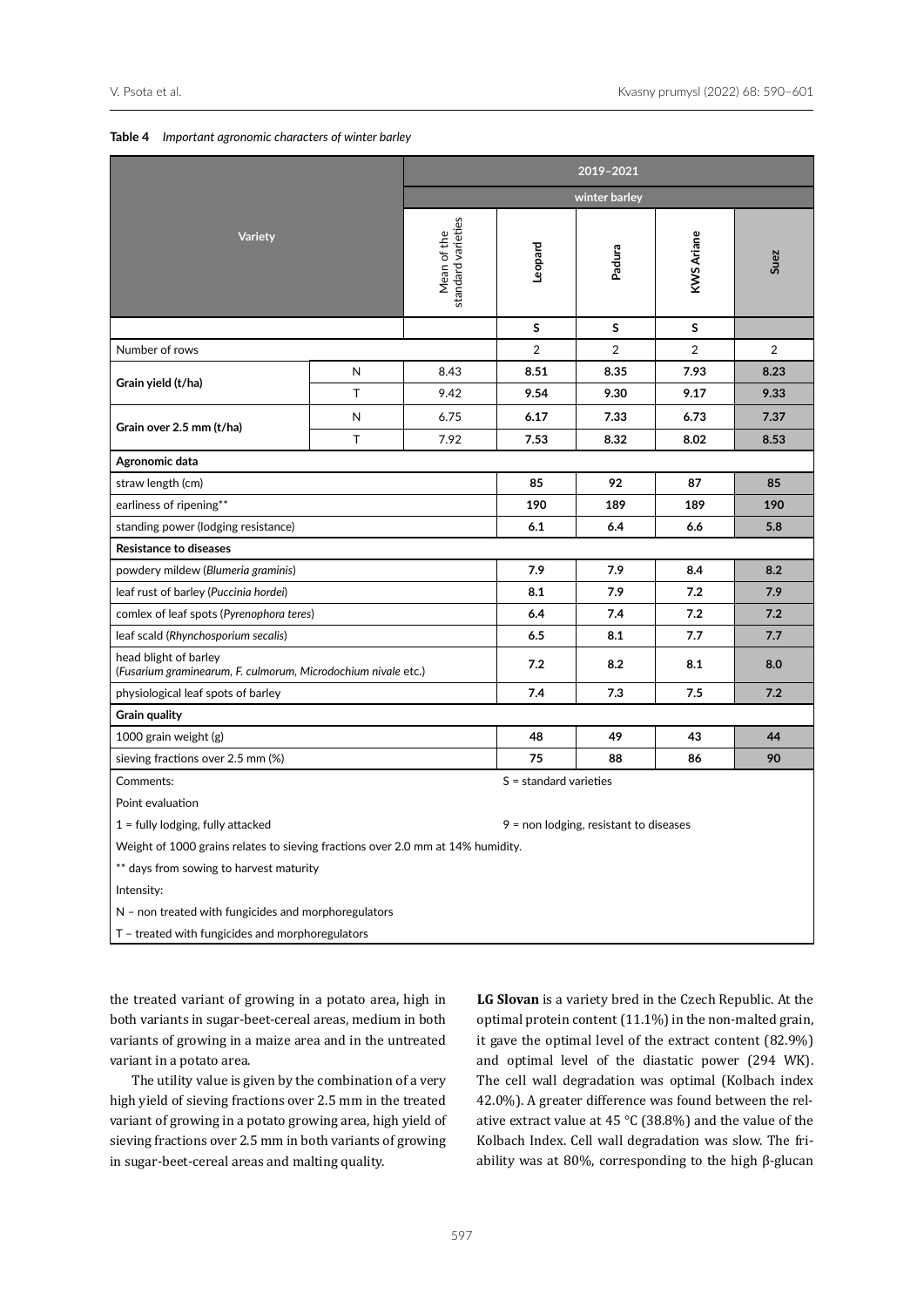|                                                                                 |                                                                      | 2019-2021                         |                          |                                          |                   |                |  |  |  |  |
|---------------------------------------------------------------------------------|----------------------------------------------------------------------|-----------------------------------|--------------------------|------------------------------------------|-------------------|----------------|--|--|--|--|
|                                                                                 |                                                                      |                                   |                          | winter barley                            |                   |                |  |  |  |  |
| <b>Variety</b>                                                                  |                                                                      | standard varieties<br>Mean of the | Leopard                  | Padura                                   | <b>KWS Ariane</b> | Suez           |  |  |  |  |
|                                                                                 |                                                                      |                                   | S                        | S                                        | S                 |                |  |  |  |  |
| Number of rows                                                                  |                                                                      |                                   | 2                        | 2                                        | $\overline{2}$    | $\overline{2}$ |  |  |  |  |
|                                                                                 | N                                                                    | 8.43                              | 8.51                     | 8.35                                     | 7.93              | 8.23           |  |  |  |  |
| Grain yield (t/ha)                                                              | T                                                                    | 9.42                              | 9.54                     | 9.30                                     | 9.17              | 9.33           |  |  |  |  |
|                                                                                 | N                                                                    | 6.75                              | 6.17                     | 7.33                                     | 6.73              | 7.37           |  |  |  |  |
| Grain over 2.5 mm (t/ha)                                                        | T                                                                    | 7.92                              | 7.53                     | 8.32                                     | 8.02              | 8.53           |  |  |  |  |
| Agronomic data                                                                  |                                                                      |                                   |                          |                                          |                   |                |  |  |  |  |
| straw length (cm)                                                               |                                                                      |                                   | 85                       | 92                                       | 87                | 85             |  |  |  |  |
| earliness of ripening**                                                         |                                                                      |                                   | 190                      | 189                                      | 189               | 190            |  |  |  |  |
| standing power (lodging resistance)                                             |                                                                      |                                   | 6.1                      | 6.4                                      | 6.6               | 5.8            |  |  |  |  |
| <b>Resistance to diseases</b>                                                   |                                                                      |                                   |                          |                                          |                   |                |  |  |  |  |
| powdery mildew (Blumeria graminis)                                              |                                                                      |                                   | 7.9                      | 7.9                                      | 8.4               | 8.2            |  |  |  |  |
| leaf rust of barley (Puccinia hordei)                                           |                                                                      | 7.9<br>7.2<br>8.1                 |                          |                                          |                   |                |  |  |  |  |
| comlex of leaf spots (Pyrenophora teres)                                        |                                                                      |                                   | 6.4                      | 7.4                                      | 7.2               | 7.2            |  |  |  |  |
| leaf scald (Rhynchosporium secalis)                                             |                                                                      |                                   | 6.5                      | 8.1                                      | 7.7               | 7.7            |  |  |  |  |
| head blight of barley                                                           | 7.2<br>(Fusarium graminearum, F. culmorum, Microdochium nivale etc.) |                                   |                          |                                          | 8.1               | 8.0            |  |  |  |  |
| physiological leaf spots of barley                                              |                                                                      |                                   | 7.4                      | 7.3                                      | 7.5<br>7.2        |                |  |  |  |  |
| <b>Grain quality</b>                                                            |                                                                      |                                   |                          |                                          |                   |                |  |  |  |  |
| 1000 grain weight (g)                                                           |                                                                      |                                   | 48                       | 49                                       | 43                | 44             |  |  |  |  |
| sieving fractions over 2.5 mm (%)                                               |                                                                      |                                   | 75                       | 88                                       | 86                | 90             |  |  |  |  |
| Comments:                                                                       |                                                                      |                                   | $S =$ standard varieties |                                          |                   |                |  |  |  |  |
| Point evaluation                                                                |                                                                      |                                   |                          |                                          |                   |                |  |  |  |  |
| $1 =$ fully lodging, fully attacked                                             |                                                                      |                                   |                          | $9$ = non lodging, resistant to diseases |                   |                |  |  |  |  |
| Weight of 1000 grains relates to sieving fractions over 2.0 mm at 14% humidity. |                                                                      |                                   |                          |                                          |                   |                |  |  |  |  |
| ** days from sowing to harvest maturity                                         |                                                                      |                                   |                          |                                          |                   |                |  |  |  |  |
| Intensity:                                                                      |                                                                      |                                   |                          |                                          |                   |                |  |  |  |  |
| N - non treated with fungicides and morphoregulators                            |                                                                      |                                   |                          |                                          |                   |                |  |  |  |  |
| T - treated with fungicides and morphoregulators                                |                                                                      |                                   |                          |                                          |                   |                |  |  |  |  |

## <span id="page-7-0"></span>**Table 4** *Important agronomic characters of winter barley*

the treated variant of growing in a potato area, high in both variants in sugar-beet-cereal areas, medium in both variants of growing in a maize area and in the untreated variant in a potato area.

The utility value is given by the combination of a very high yield of sieving fractions over 2.5 mm in the treated variant of growing in a potato growing area, high yield of sieving fractions over 2.5 mm in both variants of growing in sugar-beet-cereal areas and malting quality.

**LG Slovan** is a variety bred in the Czech Republic. At the optimal protein content (11.1%) in the non-malted grain, it gave the optimal level of the extract content (82.9%) and optimal level of the diastatic power (294 WK). The cell wall degradation was optimal (Kolbach index 42.0%). A greater difference was found between the relative extract value at 45 °C (38.8%) and the value of the Kolbach Index. Cell wall degradation was slow. The friability was at 80%, corresponding to the high β-glucan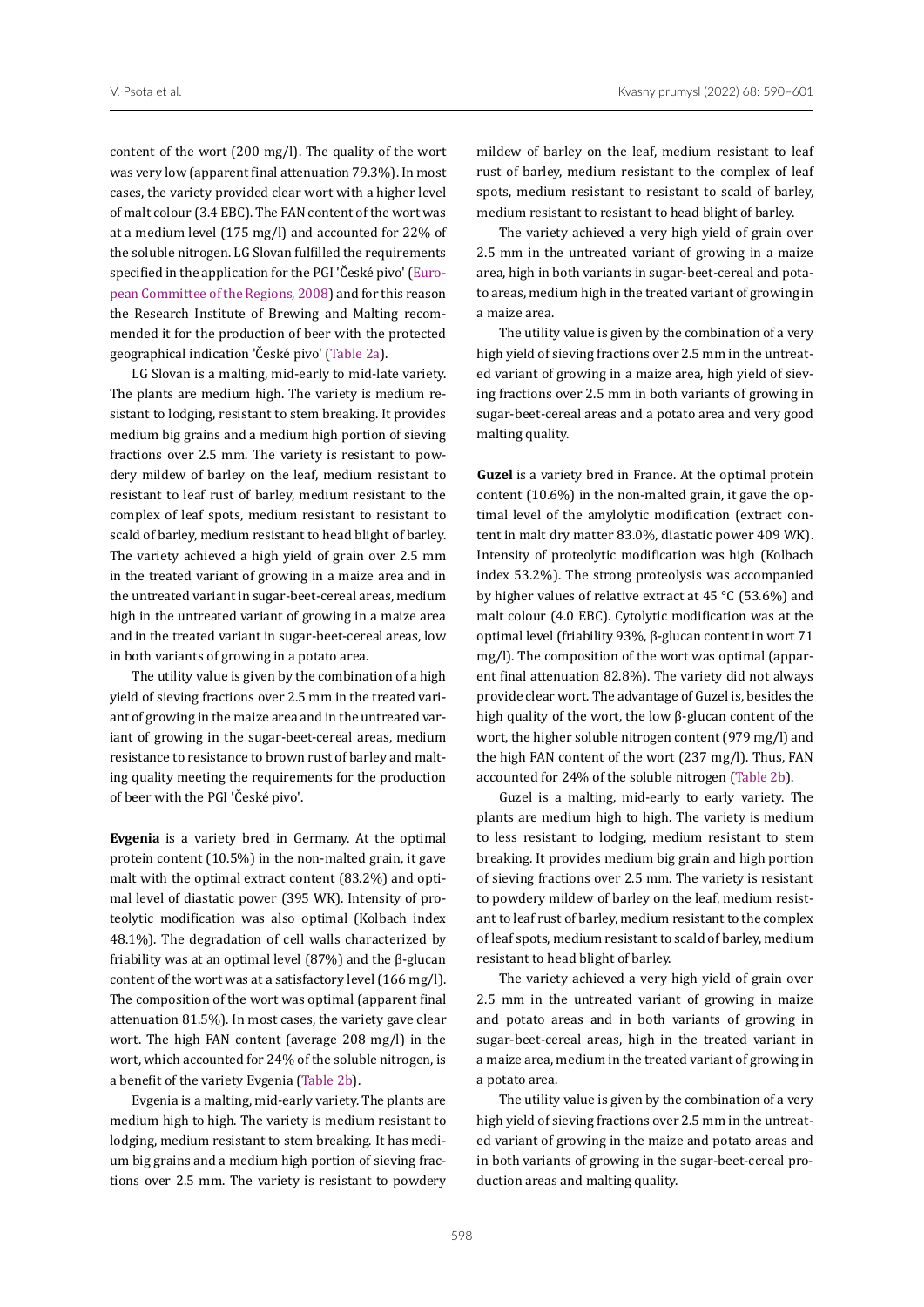content of the wort (200 mg/l). The quality of the wort was very low (apparent final attenuation 79.3%). In most cases, the variety provided clear wort with a higher level of malt colour (3.4 EBC). The FAN content of the wort was at a medium level (175 mg/l) and accounted for 22% of the soluble nitrogen. LG Slovan fulfilled the requirements specified in the application for the PGI 'České pivo' ([Euro](#page-11-2)[pean Committee of the Regions, 2008\)](#page-11-2) and for this reason the Research Institute of Brewing and Malting recommended it for the production of beer with the protected geographical indication 'České pivo' ([Table 2a](#page-3-0)).

LG Slovan is a malting, mid-early to mid-late variety. The plants are medium high. The variety is medium resistant to lodging, resistant to stem breaking. It provides medium big grains and a medium high portion of sieving fractions over 2.5 mm. The variety is resistant to powdery mildew of barley on the leaf, medium resistant to resistant to leaf rust of barley, medium resistant to the complex of leaf spots, medium resistant to resistant to scald of barley, medium resistant to head blight of barley. The variety achieved a high yield of grain over 2.5 mm in the treated variant of growing in a maize area and in the untreated variant in sugar-beet-cereal areas, medium high in the untreated variant of growing in a maize area and in the treated variant in sugar-beet-cereal areas, low in both variants of growing in a potato area.

The utility value is given by the combination of a high yield of sieving fractions over 2.5 mm in the treated variant of growing in the maize area and in the untreated variant of growing in the sugar-beet-cereal areas, medium resistance to resistance to brown rust of barley and malting quality meeting the requirements for the production of beer with the PGI 'České pivo'.

**Evgenia** is a variety bred in Germany. At the optimal protein content (10.5%) in the non-malted grain, it gave malt with the optimal extract content (83.2%) and optimal level of diastatic power (395 WK). Intensity of proteolytic modification was also optimal (Kolbach index 48.1%). The degradation of cell walls characterized by friability was at an optimal level (87%) and the β-glucan content of the wort was at a satisfactory level (166 mg/l). The composition of the wort was optimal (apparent final attenuation 81.5%). In most cases, the variety gave clear wort. The high FAN content (average 208 mg/l) in the wort, which accounted for 24% of the soluble nitrogen, is a benefit of the variety Evgenia ([Table 2b](#page-4-0)).

Evgenia is a malting, mid-early variety. The plants are medium high to high. The variety is medium resistant to lodging, medium resistant to stem breaking. It has medium big grains and a medium high portion of sieving fractions over 2.5 mm. The variety is resistant to powdery

mildew of barley on the leaf, medium resistant to leaf rust of barley, medium resistant to the complex of leaf spots, medium resistant to resistant to scald of barley, medium resistant to resistant to head blight of barley.

The variety achieved a very high yield of grain over 2.5 mm in the untreated variant of growing in a maize area, high in both variants in sugar-beet-cereal and potato areas, medium high in the treated variant of growing in a maize area.

The utility value is given by the combination of a very high yield of sieving fractions over 2.5 mm in the untreated variant of growing in a maize area, high yield of sieving fractions over 2.5 mm in both variants of growing in sugar-beet-cereal areas and a potato area and very good malting quality.

**Guzel** is a variety bred in France. At the optimal protein content (10.6%) in the non-malted grain, it gave the optimal level of the amylolytic modification (extract content in malt dry matter 83.0%, diastatic power 409 WK). Intensity of proteolytic modification was high (Kolbach index 53.2%). The strong proteolysis was accompanied by higher values of relative extract at 45 °C (53.6%) and malt colour (4.0 EBC). Cytolytic modification was at the optimal level (friability 93%, β-glucan content in wort 71 mg/l). The composition of the wort was optimal (apparent final attenuation 82.8%). The variety did not always provide clear wort. The advantage of Guzel is, besides the high quality of the wort, the low β-glucan content of the wort, the higher soluble nitrogen content (979 mg/l) and the high FAN content of the wort (237 mg/l). Thus, FAN accounted for 24% of the soluble nitrogen ([Table 2b\)](#page-4-0).

Guzel is a malting, mid-early to early variety. The plants are medium high to high. The variety is medium to less resistant to lodging, medium resistant to stem breaking. It provides medium big grain and high portion of sieving fractions over 2.5 mm. The variety is resistant to powdery mildew of barley on the leaf, medium resistant to leaf rust of barley, medium resistant to the complex of leaf spots, medium resistant to scald of barley, medium resistant to head blight of barley.

The variety achieved a very high yield of grain over 2.5 mm in the untreated variant of growing in maize and potato areas and in both variants of growing in sugar-beet-cereal areas, high in the treated variant in a maize area, medium in the treated variant of growing in a potato area.

The utility value is given by the combination of a very high yield of sieving fractions over 2.5 mm in the untreated variant of growing in the maize and potato areas and in both variants of growing in the sugar-beet-cereal production areas and malting quality.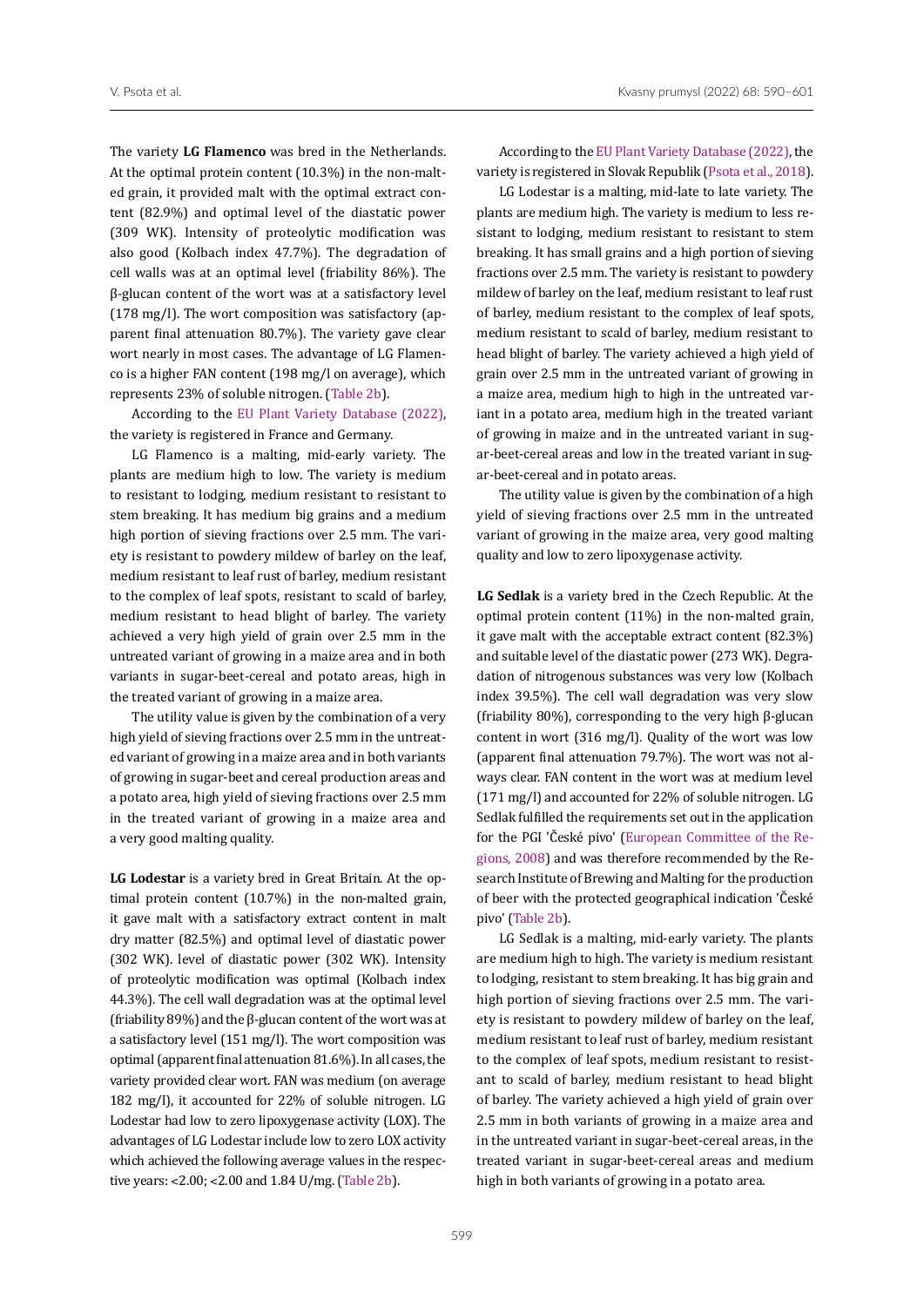The variety **LG Flamenco** was bred in the Netherlands. At the optimal protein content (10.3%) in the non-malted grain, it provided malt with the optimal extract content (82.9%) and optimal level of the diastatic power (309 WK). Intensity of proteolytic modification was also good (Kolbach index 47.7%). The degradation of cell walls was at an optimal level (friability 86%). The β-glucan content of the wort was at a satisfactory level (178 mg/l). The wort composition was satisfactory (apparent final attenuation 80.7%). The variety gave clear wort nearly in most cases. The advantage of LG Flamenco is a higher FAN content (198 mg/l on average), which represents 23% of soluble nitrogen. [\(Table 2b\)](#page-4-0).

According to the [EU Plant Variety Database \(2022\),](#page-11-5) the variety is registered in France and Germany.

LG Flamenco is a malting, mid-early variety. The plants are medium high to low. The variety is medium to resistant to lodging, medium resistant to resistant to stem breaking. It has medium big grains and a medium high portion of sieving fractions over 2.5 mm. The variety is resistant to powdery mildew of barley on the leaf, medium resistant to leaf rust of barley, medium resistant to the complex of leaf spots, resistant to scald of barley, medium resistant to head blight of barley. The variety achieved a very high yield of grain over 2.5 mm in the untreated variant of growing in a maize area and in both variants in sugar-beet-cereal and potato areas, high in the treated variant of growing in a maize area.

The utility value is given by the combination of a very high yield of sieving fractions over 2.5 mm in the untreated variant of growing in a maize area and in both variants of growing in sugar-beet and cereal production areas and a potato area, high yield of sieving fractions over 2.5 mm in the treated variant of growing in a maize area and a very good malting quality.

**LG Lodestar** is a variety bred in Great Britain. At the optimal protein content (10.7%) in the non-malted grain, it gave malt with a satisfactory extract content in malt dry matter (82.5%) and optimal level of diastatic power (302 WK). level of diastatic power (302 WK). Intensity of proteolytic modification was optimal (Kolbach index 44.3%). The cell wall degradation was at the optimal level (friability 89%) and the β-glucan content of the wort was at a satisfactory level (151 mg/l). The wort composition was optimal (apparent final attenuation 81.6%). In all cases, the variety provided clear wort. FAN was medium (on average 182 mg/l), it accounted for 22% of soluble nitrogen. LG Lodestar had low to zero lipoxygenase activity (LOX). The advantages of LG Lodestar include low to zero LOX activity which achieved the following average values in the respective years: ˂2.00; ˂2.00 and 1.84 U/mg. ([Table 2b\)](#page-4-0).

According to the [EU Plant Variety Database \(2022\),](#page-11-5) the variety is registered in Slovak Republik (Psota et al., 2018).

LG Lodestar is a malting, mid-late to late variety. The plants are medium high. The variety is medium to less resistant to lodging, medium resistant to resistant to stem breaking. It has small grains and a high portion of sieving fractions over 2.5 mm. The variety is resistant to powdery mildew of barley on the leaf, medium resistant to leaf rust of barley, medium resistant to the complex of leaf spots, medium resistant to scald of barley, medium resistant to head blight of barley. The variety achieved a high yield of grain over 2.5 mm in the untreated variant of growing in a maize area, medium high to high in the untreated variant in a potato area, medium high in the treated variant of growing in maize and in the untreated variant in sugar-beet-cereal areas and low in the treated variant in sugar-beet-cereal and in potato areas.

The utility value is given by the combination of a high yield of sieving fractions over 2.5 mm in the untreated variant of growing in the maize area, very good malting quality and low to zero lipoxygenase activity.

**LG Sedlak** is a variety bred in the Czech Republic. At the optimal protein content (11%) in the non-malted grain, it gave malt with the acceptable extract content (82.3%) and suitable level of the diastatic power (273 WK). Degradation of nitrogenous substances was very low (Kolbach index 39.5%). The cell wall degradation was very slow (friability 80%), corresponding to the very high β-glucan content in wort (316 mg/l). Quality of the wort was low (apparent final attenuation 79.7%). The wort was not always clear. FAN content in the wort was at medium level (171 mg/l) and accounted for 22% of soluble nitrogen. LG Sedlak fulfilled the requirements set out in the application for the PGI 'České pivo' ([European Committee of the Re](#page-11-2)[gions, 2008\)](#page-11-2) and was therefore recommended by the Research Institute of Brewing and Malting for the production of beer with the protected geographical indication 'České pivo' ([Table 2b\)](#page-4-0).

LG Sedlak is a malting, mid-early variety. The plants are medium high to high. The variety is medium resistant to lodging, resistant to stem breaking. It has big grain and high portion of sieving fractions over 2.5 mm. The variety is resistant to powdery mildew of barley on the leaf, medium resistant to leaf rust of barley, medium resistant to the complex of leaf spots, medium resistant to resistant to scald of barley, medium resistant to head blight of barley. The variety achieved a high yield of grain over 2.5 mm in both variants of growing in a maize area and in the untreated variant in sugar-beet-cereal areas, in the treated variant in sugar-beet-cereal areas and medium high in both variants of growing in a potato area.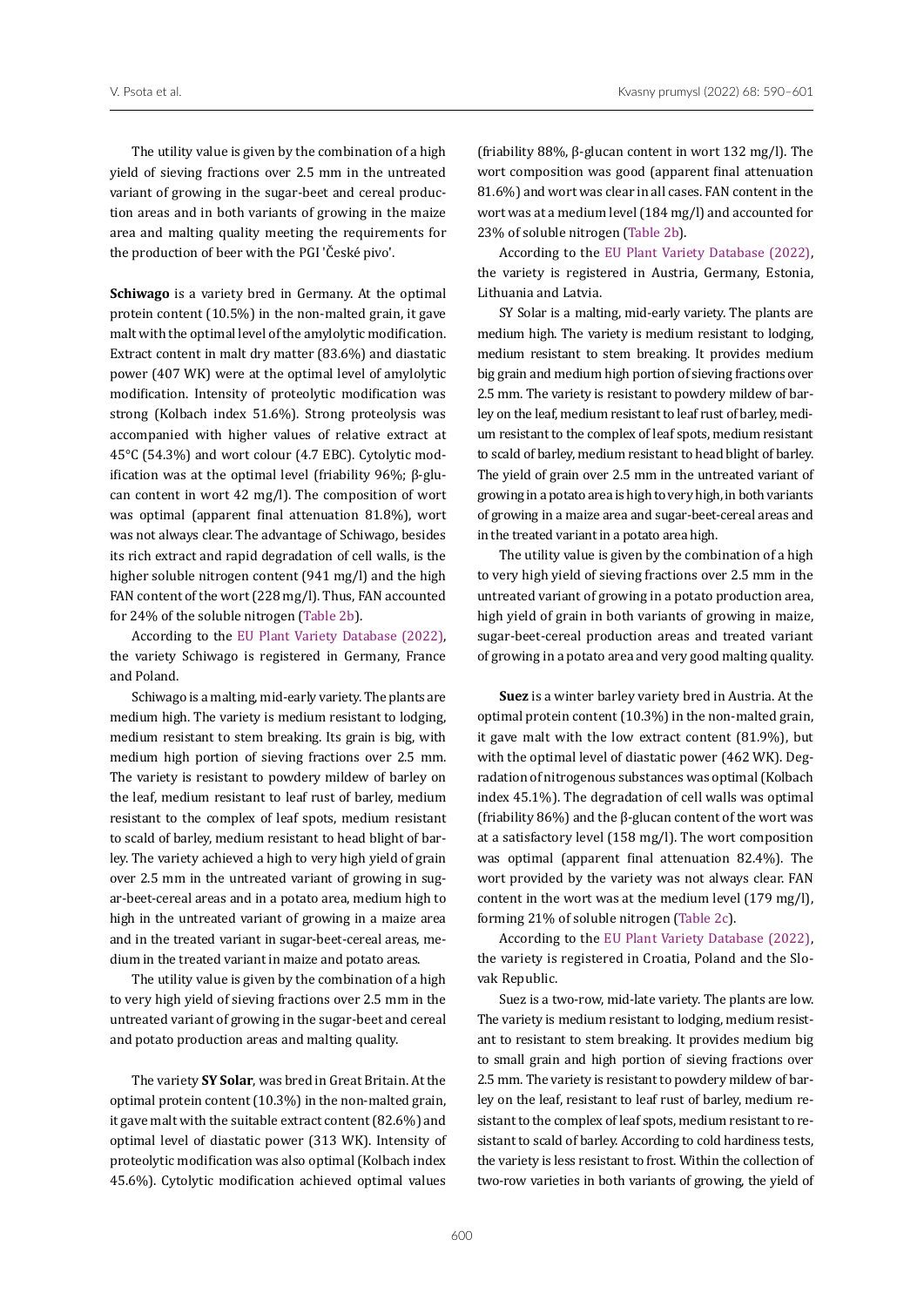The utility value is given by the combination of a high yield of sieving fractions over 2.5 mm in the untreated variant of growing in the sugar-beet and cereal production areas and in both variants of growing in the maize area and malting quality meeting the requirements for the production of beer with the PGI 'České pivo'.

**Schiwago** is a variety bred in Germany. At the optimal protein content (10.5%) in the non-malted grain, it gave malt with the optimal level of the amylolytic modification. Extract content in malt dry matter (83.6%) and diastatic power (407 WK) were at the optimal level of amylolytic modification. Intensity of proteolytic modification was strong (Kolbach index 51.6%). Strong proteolysis was accompanied with higher values of relative extract at 45°C (54.3%) and wort colour (4.7 EBC). Cytolytic modification was at the optimal level (friability 96%; β-glucan content in wort 42 mg/l). The composition of wort was optimal (apparent final attenuation 81.8%), wort was not always clear. The advantage of Schiwago, besides its rich extract and rapid degradation of cell walls, is the higher soluble nitrogen content (941 mg/l) and the high FAN content of the wort (228 mg/l). Thus, FAN accounted for 24% of the soluble nitrogen ([Table 2b](#page-4-0)).

According to the [EU Plant Variety Database \(2022\),](#page-11-5) the variety Schiwago is registered in Germany, France and Poland.

Schiwago is a malting, mid-early variety. The plants are medium high. The variety is medium resistant to lodging, medium resistant to stem breaking. Its grain is big, with medium high portion of sieving fractions over 2.5 mm. The variety is resistant to powdery mildew of barley on the leaf, medium resistant to leaf rust of barley, medium resistant to the complex of leaf spots, medium resistant to scald of barley, medium resistant to head blight of barley. The variety achieved a high to very high yield of grain over 2.5 mm in the untreated variant of growing in sugar-beet-cereal areas and in a potato area, medium high to high in the untreated variant of growing in a maize area and in the treated variant in sugar-beet-cereal areas, medium in the treated variant in maize and potato areas.

The utility value is given by the combination of a high to very high yield of sieving fractions over 2.5 mm in the untreated variant of growing in the sugar-beet and cereal and potato production areas and malting quality.

The variety **SY Solar**, was bred in Great Britain. At the optimal protein content (10.3%) in the non-malted grain, it gave malt with the suitable extract content (82.6%) and optimal level of diastatic power (313 WK). Intensity of proteolytic modification was also optimal (Kolbach index 45.6%). Cytolytic modification achieved optimal values

(friability 88%, β-glucan content in wort 132 mg/l). The wort composition was good (apparent final attenuation 81.6%) and wort was clear in all cases. FAN content in the wort was at a medium level (184 mg/l) and accounted for 23% of soluble nitrogen [\(Table 2b\)](#page-4-0).

According to the [EU Plant Variety Database \(2022\),](#page-11-5) the variety is registered in Austria, Germany, Estonia, Lithuania and Latvia.

SY Solar is a malting, mid-early variety. The plants are medium high. The variety is medium resistant to lodging, medium resistant to stem breaking. It provides medium big grain and medium high portion of sieving fractions over 2.5 mm. The variety is resistant to powdery mildew of barley on the leaf, medium resistant to leaf rust of barley, medium resistant to the complex of leaf spots, medium resistant to scald of barley, medium resistant to head blight of barley. The yield of grain over 2.5 mm in the untreated variant of growing in a potato area is high to very high, in both variants of growing in a maize area and sugar-beet-cereal areas and in the treated variant in a potato area high.

The utility value is given by the combination of a high to very high yield of sieving fractions over 2.5 mm in the untreated variant of growing in a potato production area, high yield of grain in both variants of growing in maize, sugar-beet-cereal production areas and treated variant of growing in a potato area and very good malting quality.

**Suez** is a winter barley variety bred in Austria. At the optimal protein content (10.3%) in the non-malted grain, it gave malt with the low extract content (81.9%), but with the optimal level of diastatic power (462 WK). Degradation of nitrogenous substances was optimal (Kolbach index 45.1%). The degradation of cell walls was optimal (friability 86%) and the β-glucan content of the wort was at a satisfactory level (158 mg/l). The wort composition was optimal (apparent final attenuation 82.4%). The wort provided by the variety was not always clear. FAN content in the wort was at the medium level (179 mg/l), forming 21% of soluble nitrogen ([Table 2c](#page-5-0)).

According to the [EU Plant Variety Database \(2022\),](#page-11-5) the variety is registered in Croatia, Poland and the Slovak Republic.

Suez is a two-row, mid-late variety. The plants are low. The variety is medium resistant to lodging, medium resistant to resistant to stem breaking. It provides medium big to small grain and high portion of sieving fractions over 2.5 mm. The variety is resistant to powdery mildew of barley on the leaf, resistant to leaf rust of barley, medium resistant to the complex of leaf spots, medium resistant to resistant to scald of barley. According to cold hardiness tests, the variety is less resistant to frost. Within the collection of two-row varieties in both variants of growing, the yield of